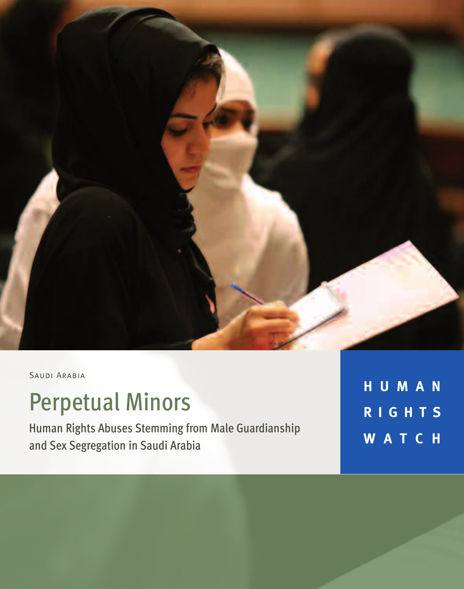

SAUDI ARABIA

# Perpetual Minors

Human Rights Abuses Stemming from Male Guardianship and Sex Segregation in Saudi Arabia

**H U M A N R I G H T S W A T C H**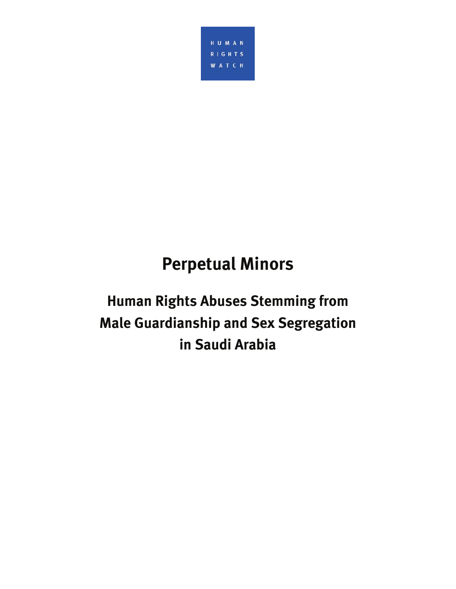

# **Perpetual Minors**

# **Human Rights Abuses Stemming from Male Guardianship and Sex Segregation in Saudi Arabia**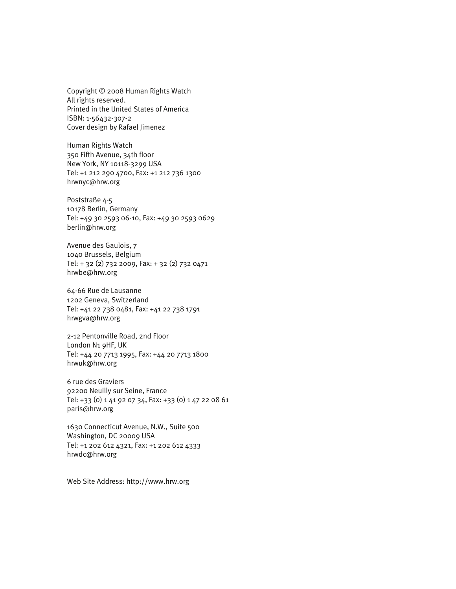Copyright © 2008 Human Rights Watch All rights reserved. Printed in the United States of America ISBN: 1-56432-307-2 Cover design by Rafael Jimenez

Human Rights Watch 350 Fifth Avenue, 34th floor New York, NY 10118-3299 USA Tel: +1 212 290 4700, Fax: +1 212 736 1300 hrwnyc@hrw.org

Poststraße 4-5 10178 Berlin, Germany Tel: +49 30 2593 06-10, Fax: +49 30 2593 0629 berlin@hrw.org

Avenue des Gaulois, 7 1040 Brussels, Belgium Tel: + 32 (2) 732 2009, Fax: + 32 (2) 732 0471 hrwbe@hrw.org

64-66 Rue de Lausanne 1202 Geneva, Switzerland Tel: +41 22 738 0481, Fax: +41 22 738 1791 hrwgva@hrw.org

2-12 Pentonville Road, 2nd Floor London N1 9HF, UK Tel: +44 20 7713 1995, Fax: +44 20 7713 1800 hrwuk@hrw.org

6 rue des Graviers 92200 Neuilly sur Seine, France Tel: +33 (0) 1 41 92 07 34, Fax: +33 (0) 1 47 22 08 61 paris@hrw.org

1630 Connecticut Avenue, N.W., Suite 500 Washington, DC 20009 USA Tel: +1 202 612 4321, Fax: +1 202 612 4333 hrwdc@hrw.org

Web Site Address: http://www.hrw.org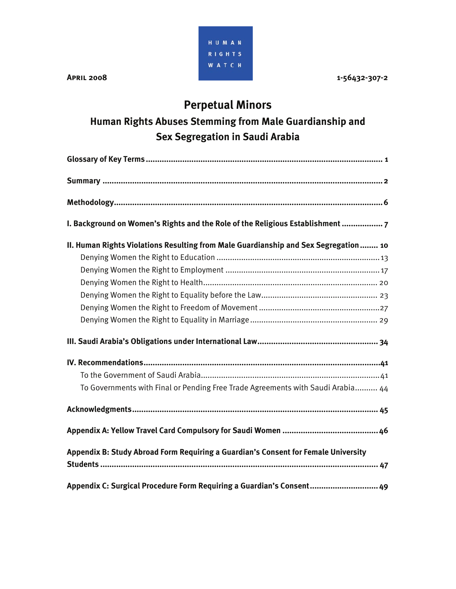HUMAN RIGHTS **WATCH** 

**APRIL 2008 1-56432-307-2** 

# **Perpetual Minors**

# **Human Rights Abuses Stemming from Male Guardianship and Sex Segregation in Saudi Arabia**

| I. Background on Women's Rights and the Role of the Religious Establishment 7       |
|-------------------------------------------------------------------------------------|
| II. Human Rights Violations Resulting from Male Guardianship and Sex Segregation 10 |
|                                                                                     |
|                                                                                     |
|                                                                                     |
|                                                                                     |
|                                                                                     |
|                                                                                     |
|                                                                                     |
|                                                                                     |
|                                                                                     |
| To Governments with Final or Pending Free Trade Agreements with Saudi Arabia 44     |
|                                                                                     |
|                                                                                     |
| Appendix B: Study Abroad Form Requiring a Guardian's Consent for Female University  |
|                                                                                     |
| Appendix C: Surgical Procedure Form Requiring a Guardian's Consent 49               |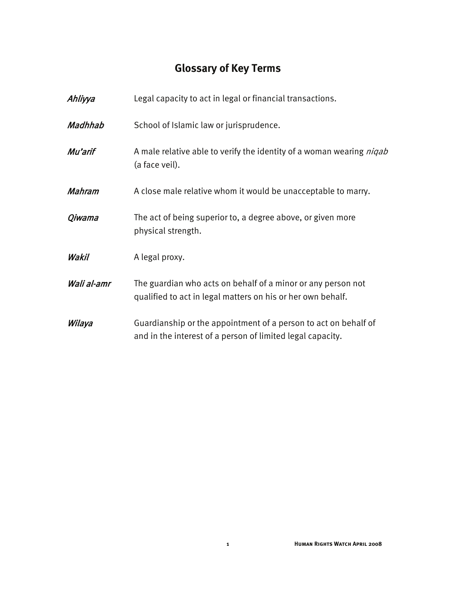# **Glossary of Key Terms**

| Ahliyya       | Legal capacity to act in legal or financial transactions.                                                                     |
|---------------|-------------------------------------------------------------------------------------------------------------------------------|
| Madhhab       | School of Islamic law or jurisprudence.                                                                                       |
| Mu'arif       | A male relative able to verify the identity of a woman wearing <i>niqab</i><br>(a face veil).                                 |
| <b>Mahram</b> | A close male relative whom it would be unacceptable to marry.                                                                 |
| Qiwama        | The act of being superior to, a degree above, or given more<br>physical strength.                                             |
| Wakil         | A legal proxy.                                                                                                                |
| Wali al-amr   | The guardian who acts on behalf of a minor or any person not<br>qualified to act in legal matters on his or her own behalf.   |
| Wilaya        | Guardianship or the appointment of a person to act on behalf of<br>and in the interest of a person of limited legal capacity. |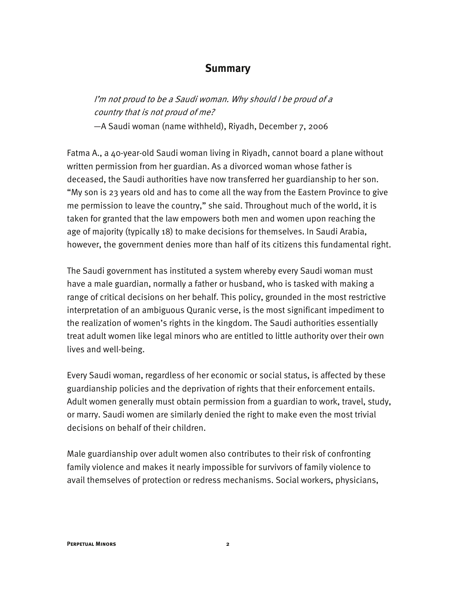#### **Summary**

I'm not proud to be a Saudi woman. Why should I be proud of a country that is not proud of me?

—A Saudi woman (name withheld), Riyadh, December 7, 2006

Fatma A., a 40-year-old Saudi woman living in Riyadh, cannot board a plane without written permission from her guardian. As a divorced woman whose father is deceased, the Saudi authorities have now transferred her guardianship to her son. "My son is 23 years old and has to come all the way from the Eastern Province to give me permission to leave the country," she said. Throughout much of the world, it is taken for granted that the law empowers both men and women upon reaching the age of majority (typically 18) to make decisions for themselves. In Saudi Arabia, however, the government denies more than half of its citizens this fundamental right.

The Saudi government has instituted a system whereby every Saudi woman must have a male guardian, normally a father or husband, who is tasked with making a range of critical decisions on her behalf. This policy, grounded in the most restrictive interpretation of an ambiguous Quranic verse, is the most significant impediment to the realization of women's rights in the kingdom. The Saudi authorities essentially treat adult women like legal minors who are entitled to little authority over their own lives and well-being.

Every Saudi woman, regardless of her economic or social status, is affected by these guardianship policies and the deprivation of rights that their enforcement entails. Adult women generally must obtain permission from a guardian to work, travel, study, or marry. Saudi women are similarly denied the right to make even the most trivial decisions on behalf of their children.

Male guardianship over adult women also contributes to their risk of confronting family violence and makes it nearly impossible for survivors of family violence to avail themselves of protection or redress mechanisms. Social workers, physicians,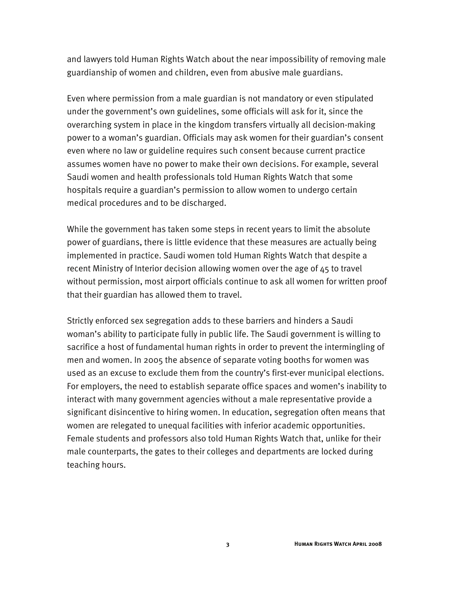and lawyers told Human Rights Watch about the near impossibility of removing male guardianship of women and children, even from abusive male guardians.

Even where permission from a male guardian is not mandatory or even stipulated under the government's own guidelines, some officials will ask for it, since the overarching system in place in the kingdom transfers virtually all decision-making power to a woman's guardian. Officials may ask women for their guardian's consent even where no law or guideline requires such consent because current practice assumes women have no power to make their own decisions. For example, several Saudi women and health professionals told Human Rights Watch that some hospitals require a guardian's permission to allow women to undergo certain medical procedures and to be discharged.

While the government has taken some steps in recent years to limit the absolute power of guardians, there is little evidence that these measures are actually being implemented in practice. Saudi women told Human Rights Watch that despite a recent Ministry of Interior decision allowing women over the age of 45 to travel without permission, most airport officials continue to ask all women for written proof that their guardian has allowed them to travel.

Strictly enforced sex segregation adds to these barriers and hinders a Saudi woman's ability to participate fully in public life. The Saudi government is willing to sacrifice a host of fundamental human rights in order to prevent the intermingling of men and women. In 2005 the absence of separate voting booths for women was used as an excuse to exclude them from the country's first-ever municipal elections. For employers, the need to establish separate office spaces and women's inability to interact with many government agencies without a male representative provide a significant disincentive to hiring women. In education, segregation often means that women are relegated to unequal facilities with inferior academic opportunities. Female students and professors also told Human Rights Watch that, unlike for their male counterparts, the gates to their colleges and departments are locked during teaching hours.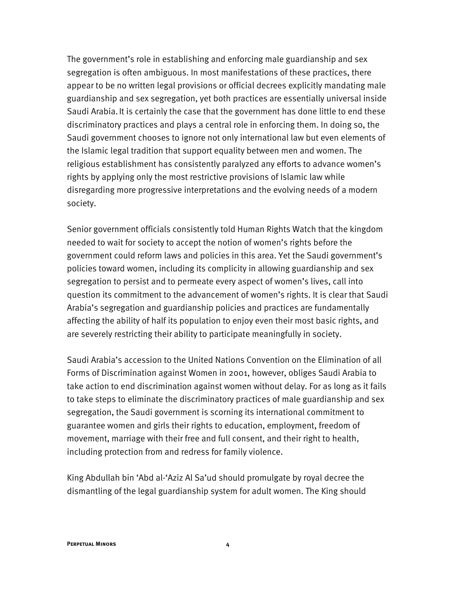The government's role in establishing and enforcing male guardianship and sex segregation is often ambiguous. In most manifestations of these practices, there appear to be no written legal provisions or official decrees explicitly mandating male guardianship and sex segregation, yet both practices are essentially universal inside Saudi Arabia.It is certainly the case that the government has done little to end these discriminatory practices and plays a central role in enforcing them. In doing so, the Saudi government chooses to ignore not only international law but even elements of the Islamic legal tradition that support equality between men and women. The religious establishment has consistently paralyzed any efforts to advance women's rights by applying only the most restrictive provisions of Islamic law while disregarding more progressive interpretations and the evolving needs of a modern society.

Senior government officials consistently told Human Rights Watch that the kingdom needed to wait for society to accept the notion of women's rights before the government could reform laws and policies in this area. Yet the Saudi government's policies toward women, including its complicity in allowing guardianship and sex segregation to persist and to permeate every aspect of women's lives, call into question its commitment to the advancement of women's rights. It is clear that Saudi Arabia's segregation and guardianship policies and practices are fundamentally affecting the ability of half its population to enjoy even their most basic rights, and are severely restricting their ability to participate meaningfully in society.

Saudi Arabia's accession to the United Nations Convention on the Elimination of all Forms of Discrimination against Women in 2001, however, obliges Saudi Arabia to take action to end discrimination against women without delay. For as long as it fails to take steps to eliminate the discriminatory practices of male guardianship and sex segregation, the Saudi government is scorning its international commitment to guarantee women and girls their rights to education, employment, freedom of movement, marriage with their free and full consent, and their right to health, including protection from and redress for family violence.

King Abdullah bin 'Abd al-'Aziz Al Sa'ud should promulgate by royal decree the dismantling of the legal guardianship system for adult women. The King should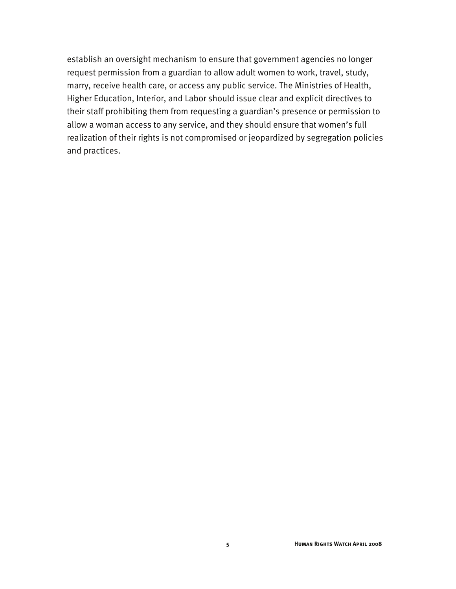establish an oversight mechanism to ensure that government agencies no longer request permission from a guardian to allow adult women to work, travel, study, marry, receive health care, or access any public service. The Ministries of Health, Higher Education, Interior, and Labor should issue clear and explicit directives to their staff prohibiting them from requesting a guardian's presence or permission to allow a woman access to any service, and they should ensure that women's full realization of their rights is not compromised or jeopardized by segregation policies and practices.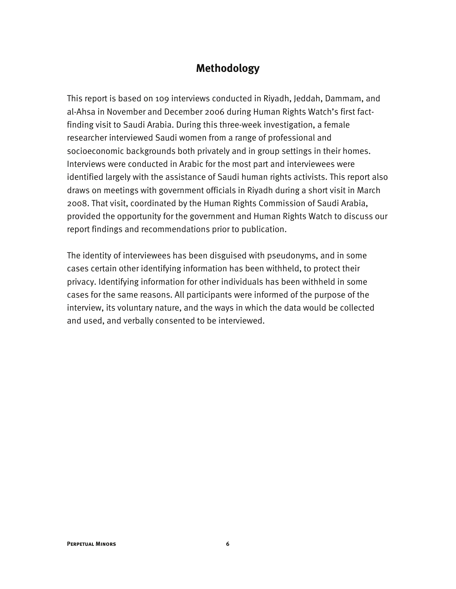#### **Methodology**

This report is based on 109 interviews conducted in Riyadh, Jeddah, Dammam, and al-Ahsa in November and December 2006 during Human Rights Watch's first factfinding visit to Saudi Arabia. During this three-week investigation, a female researcher interviewed Saudi women from a range of professional and socioeconomic backgrounds both privately and in group settings in their homes. Interviews were conducted in Arabic for the most part and interviewees were identified largely with the assistance of Saudi human rights activists. This report also draws on meetings with government officials in Riyadh during a short visit in March 2008. That visit, coordinated by the Human Rights Commission of Saudi Arabia, provided the opportunity for the government and Human Rights Watch to discuss our report findings and recommendations prior to publication.

The identity of interviewees has been disguised with pseudonyms, and in some cases certain other identifying information has been withheld, to protect their privacy. Identifying information for other individuals has been withheld in some cases for the same reasons. All participants were informed of the purpose of the interview, its voluntary nature, and the ways in which the data would be collected and used, and verbally consented to be interviewed.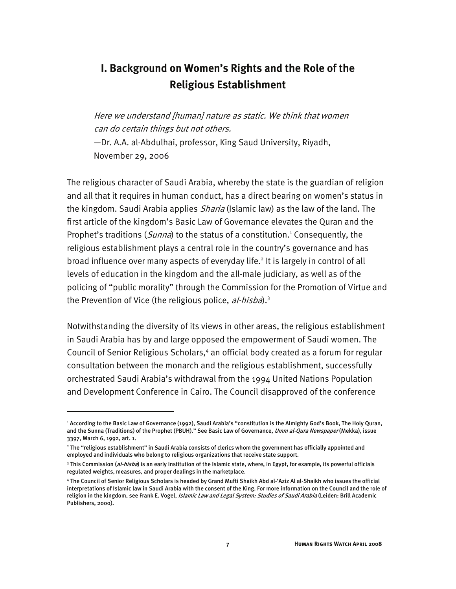## **I. Background on Women's Rights and the Role of the Religious Establishment**

Here we understand [human] nature as static. We think that women can do certain things but not others.

—Dr. A.A. al-Abdulhai, professor, King Saud University, Riyadh, November 29, 2006

The religious character of Saudi Arabia, whereby the state is the guardian of religion and all that it requires in human conduct, has a direct bearing on women's status in the kingdom. Saudi Arabia applies *Sharia* (Islamic law) as the law of the land. The first article of the kingdom's Basic Law of Governance elevates the Quran and the Prophet's traditions (Sunna) to the status of a constitution.<sup>1</sup> Consequently, the religious establishment plays a central role in the country's governance and has broad influence over many aspects of everyday life.<sup>2</sup> It is largely in control of all levels of education in the kingdom and the all-male judiciary, as well as of the policing of "public morality" through the Commission for the Promotion of Virtue and the Prevention of Vice (the religious police, al-hisba).<sup>3</sup>

Notwithstanding the diversity of its views in other areas, the religious establishment in Saudi Arabia has by and large opposed the empowerment of Saudi women. The Council of Senior Religious Scholars,<sup>4</sup> an official body created as a forum for regular consultation between the monarch and the religious establishment, successfully orchestrated Saudi Arabia's withdrawal from the 1994 United Nations Population and Development Conference in Cairo. The Council disapproved of the conference

<sup>1</sup> According to the Basic Law of Governance (1992), Saudi Arabia's "constitution is the Almighty God's Book, The Holy Quran, and the Sunna (Traditions) of the Prophet (PBUH)." See Basic Law of Governance, Umm al-Qura Newspaper (Mekka), issue 3397, March 6, 1992, art. 1.

<sup>2</sup> The "religious establishment" in Saudi Arabia consists of clerics whom the government has officially appointed and employed and individuals who belong to religious organizations that receive state support.

<sup>&</sup>lt;sup>3</sup> This Commission (*al-hisba*) is an early institution of the Islamic state, where, in Egypt, for example, its powerful officials regulated weights, measures, and proper dealings in the marketplace.

<sup>4</sup> The Council of Senior Religious Scholars is headed by Grand Mufti Shaikh Abd al-'Aziz Al al-Shaikh who issues the official interpretations of Islamic law in Saudi Arabia with the consent of the King. For more information on the Council and the role of religion in the kingdom, see Frank E. Vogel, Islamic Law and Legal System: Studies of Saudi Arabia (Leiden: Brill Academic Publishers, 2000).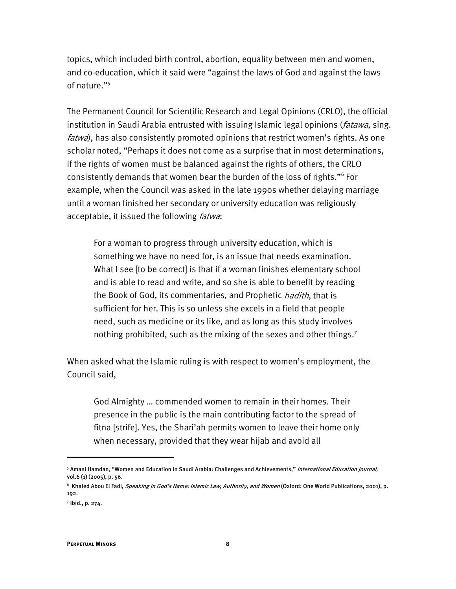topics, which included birth control, abortion, equality between men and women, and co-education, which it said were "against the laws of God and against the laws of nature."<sup>5</sup>

The Permanent Council for Scientific Research and Legal Opinions (CRLO), the official institution in Saudi Arabia entrusted with issuing Islamic legal opinions (*fatawa*, sing. fatwa), has also consistently promoted opinions that restrict women's rights. As one scholar noted, "Perhaps it does not come as a surprise that in most determinations, if the rights of women must be balanced against the rights of others, the CRLO consistently demands that women bear the burden of the loss of rights."6 For example, when the Council was asked in the late 1990s whether delaying marriage until a woman finished her secondary or university education was religiously acceptable, it issued the following *fatwa*:

For a woman to progress through university education, which is something we have no need for, is an issue that needs examination. What I see [to be correct] is that if a woman finishes elementary school and is able to read and write, and so she is able to benefit by reading the Book of God, its commentaries, and Prophetic *hadith*, that is sufficient for her. This is so unless she excels in a field that people need, such as medicine or its like, and as long as this study involves nothing prohibited, such as the mixing of the sexes and other things.<sup>7</sup>

When asked what the Islamic ruling is with respect to women's employment, the Council said,

God Almighty … commended women to remain in their homes. Their presence in the public is the main contributing factor to the spread of fitna [strife]. Yes, the Shari'ah permits women to leave their home only when necessary, provided that they wear hijab and avoid all

-

<sup>&</sup>lt;sup>5</sup> Amani Hamdan, "Women and Education in Saudi Arabia: Challenges and Achievements," *International Education Journal,* vol.6 (1) (2005), p. 56.

 $^6\,$  Khaled Abou El Fadl, *Speaking in God's Name: Islamic Law, Authority, and Women* (Oxford: One World Publications, 2001), p. 192.

<sup>7</sup> Ibid., p. 274.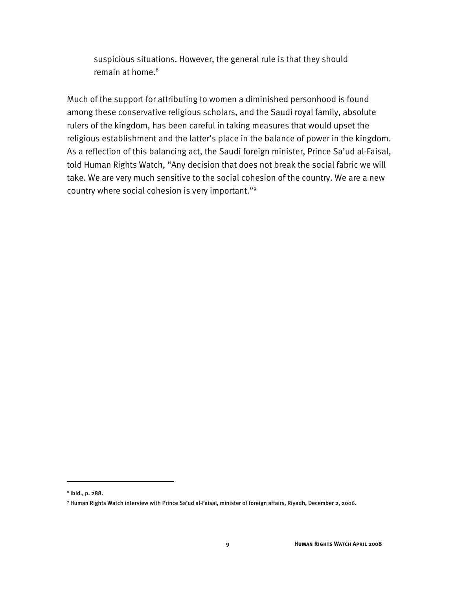suspicious situations. However, the general rule is that they should remain at home. $^8$ 

Much of the support for attributing to women a diminished personhood is found among these conservative religious scholars, and the Saudi royal family, absolute rulers of the kingdom, has been careful in taking measures that would upset the religious establishment and the latter's place in the balance of power in the kingdom. As a reflection of this balancing act, the Saudi foreign minister, Prince Sa'ud al-Faisal, told Human Rights Watch, "Any decision that does not break the social fabric we will take. We are very much sensitive to the social cohesion of the country. We are a new country where social cohesion is very important."9

 $8$  lbid., p. 288.

<sup>9</sup> Human Rights Watch interview with Prince Sa'ud al-Faisal, minister of foreign affairs, Riyadh, December 2, 2006.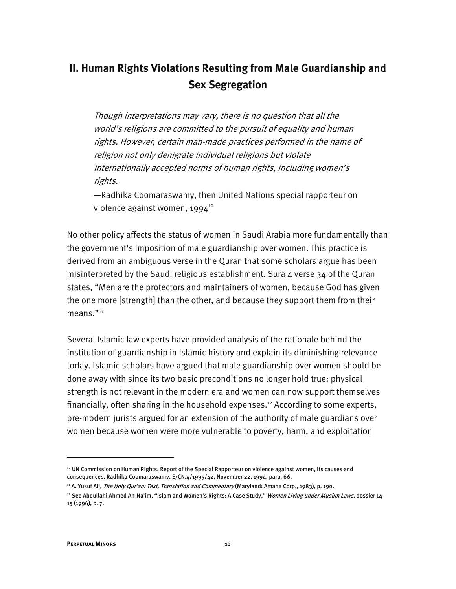# **II. Human Rights Violations Resulting from Male Guardianship and Sex Segregation**

Though interpretations may vary, there is no question that all the world's religions are committed to the pursuit of equality and human rights. However, certain man-made practices performed in the name of religion not only denigrate individual religions but violate internationally accepted norms of human rights, including women's rights.

—Radhika Coomaraswamy, then United Nations special rapporteur on violence against women, 1994<sup>10</sup>

No other policy affects the status of women in Saudi Arabia more fundamentally than the government's imposition of male guardianship over women. This practice is derived from an ambiguous verse in the Quran that some scholars argue has been misinterpreted by the Saudi religious establishment. Sura  $4$  verse 34 of the Quran states, "Men are the protectors and maintainers of women, because God has given the one more [strength] than the other, and because they support them from their means."<sup>11</sup>

Several Islamic law experts have provided analysis of the rationale behind the institution of guardianship in Islamic history and explain its diminishing relevance today. Islamic scholars have argued that male guardianship over women should be done away with since its two basic preconditions no longer hold true: physical strength is not relevant in the modern era and women can now support themselves financially, often sharing in the household expenses.<sup>12</sup> According to some experts, pre-modern jurists argued for an extension of the authority of male guardians over women because women were more vulnerable to poverty, harm, and exploitation

<sup>10</sup> UN Commission on Human Rights, Report of the Special Rapporteur on violence against women, its causes and consequences, Radhika Coomaraswamy, E/CN.4/1995/42, November 22, 1994, para. 66.

<sup>&</sup>lt;sup>11</sup> A. Yusuf Ali, The Holy Qur'an: Text, Translation and Commentary (Maryland: Amana Corp., 1983), p. 190.

<sup>&</sup>lt;sup>12</sup> See Abdullahi Ahmed An-Na'im, "Islam and Women's Rights: A Case Study," *Women Living under Muslim Laws,* dossier 14-15 (1996), p. 7.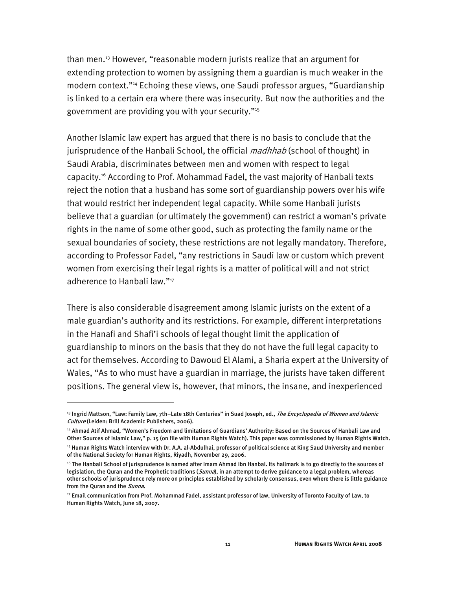than men.13 However, "reasonable modern jurists realize that an argument for extending protection to women by assigning them a guardian is much weaker in the modern context."14 Echoing these views, one Saudi professor argues, "Guardianship is linked to a certain era where there was insecurity. But now the authorities and the government are providing you with your security."15

Another Islamic law expert has argued that there is no basis to conclude that the jurisprudence of the Hanbali School, the official *madhhab* (school of thought) in Saudi Arabia, discriminates between men and women with respect to legal capacity.16 According to Prof. Mohammad Fadel, the vast majority of Hanbali texts reject the notion that a husband has some sort of guardianship powers over his wife that would restrict her independent legal capacity. While some Hanbali jurists believe that a guardian (or ultimately the government) can restrict a woman's private rights in the name of some other good, such as protecting the family name or the sexual boundaries of society, these restrictions are not legally mandatory. Therefore, according to Professor Fadel, "any restrictions in Saudi law or custom which prevent women from exercising their legal rights is a matter of political will and not strict adherence to Hanbali law."<sup>17</sup>

There is also considerable disagreement among Islamic jurists on the extent of a male guardian's authority and its restrictions. For example, different interpretations in the Hanafi and Shafi'i schools of legal thought limit the application of guardianship to minors on the basis that they do not have the full legal capacity to act for themselves. According to Dawoud El Alami, a Sharia expert at the University of Wales, "As to who must have a guardian in marriage, the jurists have taken different positions. The general view is, however, that minors, the insane, and inexperienced

<sup>&</sup>lt;sup>13</sup> Ingrid Mattson, "Law: Family Law, 7th–Late 18th Centuries" in Suad Joseph, ed., The Encyclopedia of Women and Islamic Culture (Leiden: Brill Academic Publishers, 2006).

<sup>14</sup> Ahmad Atif Ahmad, "Women's Freedom and limitations of Guardians' Authority: Based on the Sources of Hanbali Law and Other Sources of Islamic Law," p. 15 (on file with Human Rights Watch). This paper was commissioned by Human Rights Watch.

<sup>&</sup>lt;sup>15</sup> Human Rights Watch interview with Dr. A.A. al-Abdulhai, professor of political science at King Saud University and member of the National Society for Human Rights, Riyadh, November 29, 2006.

<sup>16</sup> The Hanbali School of jurisprudence is named after Imam Ahmad ibn Hanbal. Its hallmark is to go directly to the sources of legislation, the Quran and the Prophetic traditions (Sunna), in an attempt to derive guidance to a legal problem, whereas other schools of jurisprudence rely more on principles established by scholarly consensus, even where there is little guidance from the Quran and the Sunna.

 $^{17}$  Email communication from Prof. Mohammad Fadel, assistant professor of law, University of Toronto Faculty of Law, to Human Rights Watch, June 18, 2007.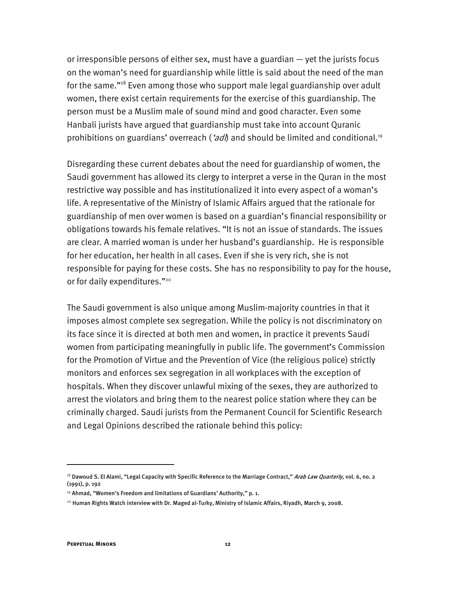or irresponsible persons of either sex, must have a guardian — yet the jurists focus on the woman's need for guardianship while little is said about the need of the man for the same."<sup>18</sup> Even among those who support male legal guardianship over adult women, there exist certain requirements for the exercise of this guardianship. The person must be a Muslim male of sound mind and good character. Even some Hanbali jurists have argued that guardianship must take into account Quranic prohibitions on guardians' overreach ( $ad$ ) and should be limited and conditional.<sup>19</sup>

Disregarding these current debates about the need for guardianship of women, the Saudi government has allowed its clergy to interpret a verse in the Quran in the most restrictive way possible and has institutionalized it into every aspect of a woman's life. A representative of the Ministry of Islamic Affairs argued that the rationale for guardianship of men over women is based on a guardian's financial responsibility or obligations towards his female relatives. "It is not an issue of standards. The issues are clear. A married woman is under her husband's guardianship. He is responsible for her education, her health in all cases. Even if she is very rich, she is not responsible for paying for these costs. She has no responsibility to pay for the house, or for daily expenditures."<sup>20</sup>

The Saudi government is also unique among Muslim-majority countries in that it imposes almost complete sex segregation. While the policy is not discriminatory on its face since it is directed at both men and women, in practice it prevents Saudi women from participating meaningfully in public life. The government's Commission for the Promotion of Virtue and the Prevention of Vice (the religious police) strictly monitors and enforces sex segregation in all workplaces with the exception of hospitals. When they discover unlawful mixing of the sexes, they are authorized to arrest the violators and bring them to the nearest police station where they can be criminally charged. Saudi jurists from the Permanent Council for Scientific Research and Legal Opinions described the rationale behind this policy:

<sup>&</sup>lt;sup>18</sup> Dawoud S. El Alami, "Legal Capacity with Specific Reference to the Marriage Contract," *Arab Law Quarterly,* vol. 6, no. 2 (1991), p. 192

<sup>&</sup>lt;sup>19</sup> Ahmad, "Women's Freedom and limitations of Guardians' Authority," p. 1.

<sup>20</sup> Human Rights Watch interview with Dr. Maged al-Turky, Ministry of Islamic Affairs, Riyadh, March 9, 2008.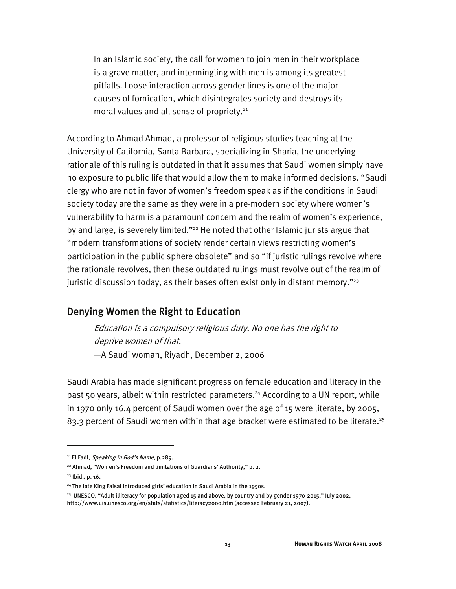In an Islamic society, the call for women to join men in their workplace is a grave matter, and intermingling with men is among its greatest pitfalls. Loose interaction across gender lines is one of the major causes of fornication, which disintegrates society and destroys its moral values and all sense of propriety.<sup>21</sup>

According to Ahmad Ahmad, a professor of religious studies teaching at the University of California, Santa Barbara, specializing in Sharia, the underlying rationale of this ruling is outdated in that it assumes that Saudi women simply have no exposure to public life that would allow them to make informed decisions. "Saudi clergy who are not in favor of women's freedom speak as if the conditions in Saudi society today are the same as they were in a pre-modern society where women's vulnerability to harm is a paramount concern and the realm of women's experience, by and large, is severely limited."<sup>22</sup> He noted that other Islamic jurists argue that "modern transformations of society render certain views restricting women's participation in the public sphere obsolete" and so "if juristic rulings revolve where the rationale revolves, then these outdated rulings must revolve out of the realm of juristic discussion today, as their bases often exist only in distant memory."<sup>23</sup>

#### Denying Women the Right to Education

Education is a compulsory religious duty. No one has the right to deprive women of that. —A Saudi woman, Riyadh, December 2, 2006

Saudi Arabia has made significant progress on female education and literacy in the past 50 years, albeit within restricted parameters.<sup>24</sup> According to a UN report, while in 1970 only 16.4 percent of Saudi women over the age of 15 were literate, by 2005, 83.3 percent of Saudi women within that age bracket were estimated to be literate.<sup>25</sup>

 $21$  El Fadl, *Speaking in God's Name*, p.289.

<sup>&</sup>lt;sup>22</sup> Ahmad, "Women's Freedom and limitations of Guardians' Authority," p. 2.

<sup>23</sup> Ibid., p. 16.

<sup>&</sup>lt;sup>24</sup> The late King Faisal introduced girls' education in Saudi Arabia in the 1950s.

<sup>25</sup> UNESCO, "Adult illiteracy for population aged 15 and above, by country and by gender 1970-2015," July 2002,

http://www.uis.unesco.org/en/stats/statistics/literacy2000.htm (accessed February 21, 2007).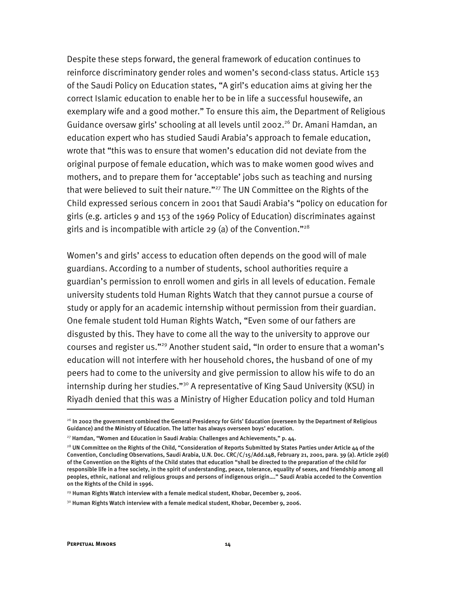Despite these steps forward, the general framework of education continues to reinforce discriminatory gender roles and women's second-class status. Article 153 of the Saudi Policy on Education states, "A girl's education aims at giving her the correct Islamic education to enable her to be in life a successful housewife, an exemplary wife and a good mother." To ensure this aim, the Department of Religious Guidance oversaw girls' schooling at all levels until 2002.<sup>26</sup> Dr. Amani Hamdan, an education expert who has studied Saudi Arabia's approach to female education, wrote that "this was to ensure that women's education did not deviate from the original purpose of female education, which was to make women good wives and mothers, and to prepare them for 'acceptable' jobs such as teaching and nursing that were believed to suit their nature."<sup>27</sup> The UN Committee on the Rights of the Child expressed serious concern in 2001 that Saudi Arabia's "policy on education for girls (e.g. articles 9 and 153 of the 1969 Policy of Education) discriminates against girls and is incompatible with article 29 (a) of the Convention."<sup>28</sup>

Women's and girls' access to education often depends on the good will of male guardians. According to a number of students, school authorities require a guardian's permission to enroll women and girls in all levels of education. Female university students told Human Rights Watch that they cannot pursue a course of study or apply for an academic internship without permission from their guardian. One female student told Human Rights Watch, "Even some of our fathers are disgusted by this. They have to come all the way to the university to approve our courses and register us."29 Another student said, "In order to ensure that a woman's education will not interfere with her household chores, the husband of one of my peers had to come to the university and give permission to allow his wife to do an internship during her studies."<sup>30</sup> A representative of King Saud University (KSU) in Riyadh denied that this was a Ministry of Higher Education policy and told Human

<sup>&</sup>lt;sup>26</sup> In 2002 the government combined the General Presidency for Girls' Education (overseen by the Department of Religious Guidance) and the Ministry of Education. The latter has always overseen boys' education.

 $^{27}$  Hamdan, "Women and Education in Saudi Arabia: Challenges and Achievements," p. 44.

 $^{28}$  UN Committee on the Rights of the Child, "Consideration of Reports Submitted by States Parties under Article 44 of the Convention, Concluding Observations, Saudi Arabia, U.N. Doc. CRC/C/15/Add.148, February 21, 2001, para. 39 (a). Article 29(d) of the Convention on the Rights of the Child states that education "shall be directed to the preparation of the child for responsible life in a free society, in the spirit of understanding, peace, tolerance, equality of sexes, and friendship among all peoples, ethnic, national and religious groups and persons of indigenous origin…." Saudi Arabia acceded to the Convention on the Rights of the Child in 1996.

 $29$  Human Rights Watch interview with a female medical student, Khobar, December 9, 2006.

 $30$  Human Rights Watch interview with a female medical student, Khobar, December 9, 2006.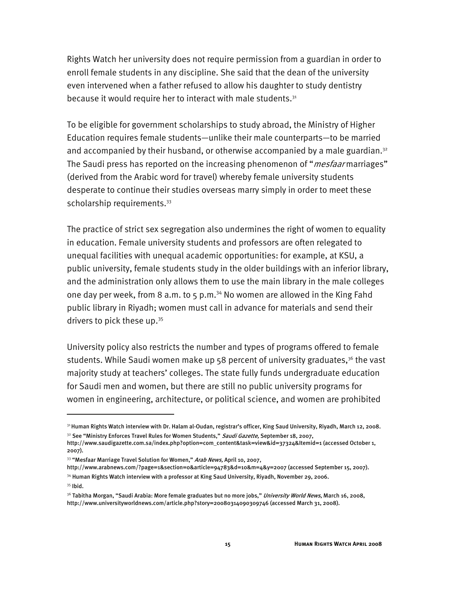Rights Watch her university does not require permission from a guardian in order to enroll female students in any discipline. She said that the dean of the university even intervened when a father refused to allow his daughter to study dentistry because it would require her to interact with male students. $31$ 

To be eligible for government scholarships to study abroad, the Ministry of Higher Education requires female students—unlike their male counterparts—to be married and accompanied by their husband, or otherwise accompanied by a male guardian.<sup>32</sup> The Saudi press has reported on the increasing phenomenon of "*mesfaar* marriages" (derived from the Arabic word for travel) whereby female university students desperate to continue their studies overseas marry simply in order to meet these scholarship requirements.<sup>33</sup>

The practice of strict sex segregation also undermines the right of women to equality in education. Female university students and professors are often relegated to unequal facilities with unequal academic opportunities: for example, at KSU, a public university, female students study in the older buildings with an inferior library, and the administration only allows them to use the main library in the male colleges one day per week, from 8 a.m. to 5 p.m.<sup>34</sup> No women are allowed in the King Fahd public library in Riyadh; women must call in advance for materials and send their drivers to pick these up.<sup>35</sup>

University policy also restricts the number and types of programs offered to female students. While Saudi women make up  $58$  percent of university graduates,<sup>36</sup> the vast majority study at teachers' colleges. The state fully funds undergraduate education for Saudi men and women, but there are still no public university programs for women in engineering, architecture, or political science, and women are prohibited

- http://www.arabnews.com/?page=1&section=0&article=94783&d=10&m=4&y=2007 (accessed September 15, 2007). <sup>34</sup> Human Rights Watch interview with a professor at King Saud University, Riyadh, November 29, 2006.
- <sup>35</sup> Ibid.

-

<sup>31</sup> Human Rights Watch interview with Dr. Halam al-Oudan, registrar's officer, King Saud University, Riyadh, March 12, 2008. <sup>32</sup> See "Ministry Enforces Travel Rules for Women Students," Saudi Gazette, September 18, 2007,

http://www.saudigazette.com.sa/index.php?option=com\_content&task=view&id=37324&Itemid=1 (accessed October 1, 2007).

<sup>&</sup>lt;sup>33</sup> "Mesfaar Marriage Travel Solution for Women," Arab News, April 10, 2007,

<sup>&</sup>lt;sup>36</sup> Tabitha Morgan, "Saudi Arabia: More female graduates but no more jobs," *University World News*, March 16, 2008, http://www.universityworldnews.com/article.php?story=20080314090309746 (accessed March 31, 2008).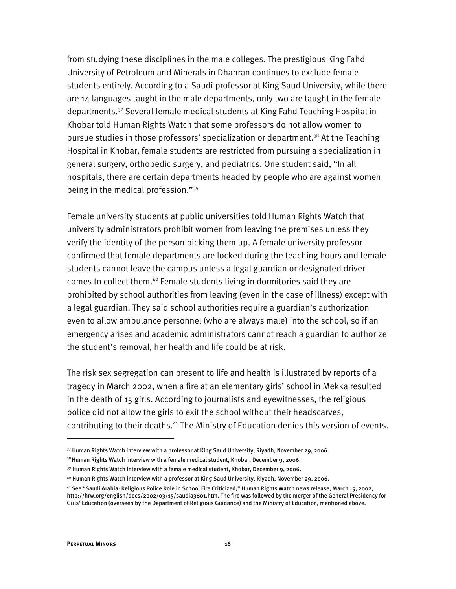from studying these disciplines in the male colleges. The prestigious King Fahd University of Petroleum and Minerals in Dhahran continues to exclude female students entirely. According to a Saudi professor at King Saud University, while there are 14 languages taught in the male departments, only two are taught in the female departments.37 Several female medical students at King Fahd Teaching Hospital in Khobar told Human Rights Watch that some professors do not allow women to pursue studies in those professors' specialization or department.<sup>38</sup> At the Teaching Hospital in Khobar, female students are restricted from pursuing a specialization in general surgery, orthopedic surgery, and pediatrics. One student said, "In all hospitals, there are certain departments headed by people who are against women being in the medical profession."39

Female university students at public universities told Human Rights Watch that university administrators prohibit women from leaving the premises unless they verify the identity of the person picking them up. A female university professor confirmed that female departments are locked during the teaching hours and female students cannot leave the campus unless a legal guardian or designated driver comes to collect them.40 Female students living in dormitories said they are prohibited by school authorities from leaving (even in the case of illness) except with a legal guardian. They said school authorities require a guardian's authorization even to allow ambulance personnel (who are always male) into the school, so if an emergency arises and academic administrators cannot reach a guardian to authorize the student's removal, her health and life could be at risk.

The risk sex segregation can present to life and health is illustrated by reports of a tragedy in March 2002, when a fire at an elementary girls' school in Mekka resulted in the death of 15 girls. According to journalists and eyewitnesses, the religious police did not allow the girls to exit the school without their headscarves, contributing to their deaths.<sup>41</sup> The Ministry of Education denies this version of events.

 $37$  Human Rights Watch interview with a professor at King Saud University, Riyadh, November 29, 2006.

 $38$ Human Rights Watch interview with a female medical student, Khobar, December 9, 2006.

<sup>39</sup> Human Rights Watch interview with a female medical student, Khobar, December 9, 2006.

 $^{40}$  Human Rights Watch interview with a professor at King Saud University, Riyadh, November 29, 2006.

<sup>41</sup> See "Saudi Arabia: Religious Police Role in School Fire Criticized," Human Rights Watch news release, March 15, 2002, http://hrw.org/english/docs/2002/03/15/saudia3801.htm. The fire was followed by the merger of the General Presidency for

Girls' Education (overseen by the Department of Religious Guidance) and the Ministry of Education, mentioned above.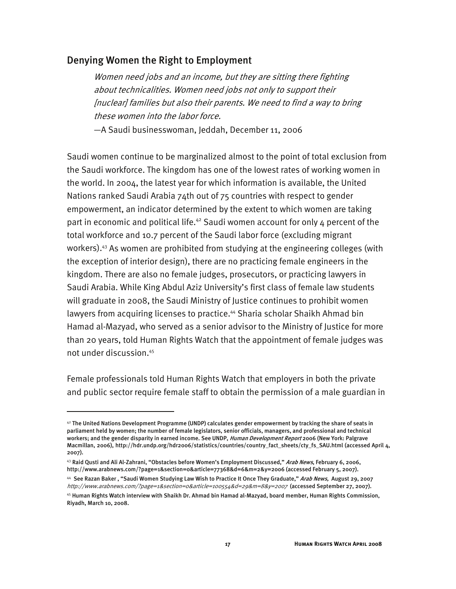#### Denying Women the Right to Employment

Women need jobs and an income, but they are sitting there fighting about technicalities. Women need jobs not only to support their [nuclear] families but also their parents. We need to find a way to bring these women into the labor force.

—A Saudi businesswoman, Jeddah, December 11, 2006

Saudi women continue to be marginalized almost to the point of total exclusion from the Saudi workforce. The kingdom has one of the lowest rates of working women in the world. In 2004, the latest year for which information is available, the United Nations ranked Saudi Arabia 74th out of 75 countries with respect to gender empowerment, an indicator determined by the extent to which women are taking part in economic and political life.<sup>42</sup> Saudi women account for only  $4$  percent of the total workforce and 10.7 percent of the Saudi labor force (excluding migrant workers).<sup>43</sup> As women are prohibited from studying at the engineering colleges (with the exception of interior design), there are no practicing female engineers in the kingdom. There are also no female judges, prosecutors, or practicing lawyers in Saudi Arabia. While King Abdul Aziz University's first class of female law students will graduate in 2008, the Saudi Ministry of Justice continues to prohibit women lawyers from acquiring licenses to practice.<sup>44</sup> Sharia scholar Shaikh Ahmad bin Hamad al-Mazyad, who served as a senior advisor to the Ministry of Justice for more than 20 years, told Human Rights Watch that the appointment of female judges was not under discussion.45

Female professionals told Human Rights Watch that employers in both the private and public sector require female staff to obtain the permission of a male guardian in

 $42$  The United Nations Development Programme (UNDP) calculates gender empowerment by tracking the share of seats in parliament held by women; the number of female legislators, senior officials, managers, and professional and technical workers; and the gender disparity in earned income. See UNDP, Human Development Report 2006 (New York: Palgrave Macmillan, 2006), http://hdr.undp.org/hdr2006/statistics/countries/country\_fact\_sheets/cty\_fs\_SAU.html (accessed April 4, 2007).

<sup>&</sup>lt;sup>43</sup> Raid Qusti and Ali Al-Zahrani, "Obstacles before Women's Employment Discussed," *Arab News*, February 6, 2006, http://www.arabnews.com/?page=1&section=0&article=77368&d=6&m=2&y=2006 (accessed February 5, 2007).

<sup>&</sup>lt;sup>44</sup> See Razan Baker, "Saudi Women Studying Law Wish to Practice It Once They Graduate," Arab News, August 29, 2007 http://www.arabnews.com/?page=1&section=0&article=100554&d=29&m=8&y=2007 (accessed September 27, 2007).

<sup>45</sup> Human Rights Watch interview with Shaikh Dr. Ahmad bin Hamad al-Mazyad, board member, Human Rights Commission, Riyadh, March 10, 2008.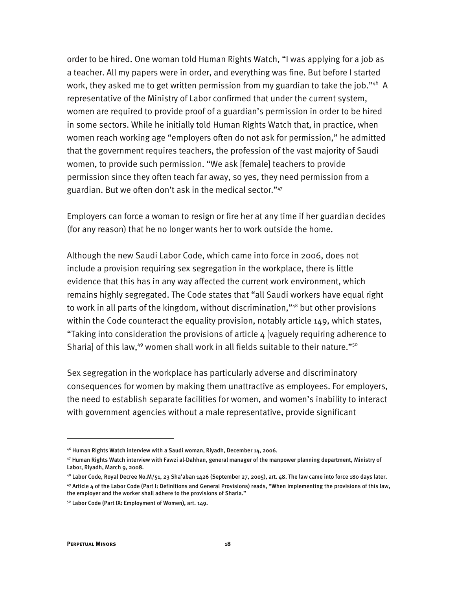order to be hired. One woman told Human Rights Watch, "I was applying for a job as a teacher. All my papers were in order, and everything was fine. But before I started work, they asked me to get written permission from my guardian to take the job."<sup>46</sup> A representative of the Ministry of Labor confirmed that under the current system, women are required to provide proof of a guardian's permission in order to be hired in some sectors. While he initially told Human Rights Watch that, in practice, when women reach working age "employers often do not ask for permission," he admitted that the government requires teachers, the profession of the vast majority of Saudi women, to provide such permission. "We ask [female] teachers to provide permission since they often teach far away, so yes, they need permission from a guardian. But we often don't ask in the medical sector."<sup>47</sup>

Employers can force a woman to resign or fire her at any time if her guardian decides (for any reason) that he no longer wants her to work outside the home.

Although the new Saudi Labor Code, which came into force in 2006, does not include a provision requiring sex segregation in the workplace, there is little evidence that this has in any way affected the current work environment, which remains highly segregated. The Code states that "all Saudi workers have equal right to work in all parts of the kingdom, without discrimination,"<sup>48</sup> but other provisions within the Code counteract the equality provision, notably article 149, which states, "Taking into consideration the provisions of article 4 [vaguely requiring adherence to Sharia] of this law,<sup>49</sup> women shall work in all fields suitable to their nature."<sup>50</sup>

Sex segregation in the workplace has particularly adverse and discriminatory consequences for women by making them unattractive as employees. For employers, the need to establish separate facilities for women, and women's inability to interact with government agencies without a male representative, provide significant

 $46$  Human Rights Watch interview with a Saudi woman, Riyadh, December 14, 2006.

<sup>47</sup> Human Rights Watch interview with Fawzi al-Dahhan, general manager of the manpower planning department, Ministry of Labor, Riyadh, March 9, 2008.

 $^{48}$  Labor Code, Royal Decree No.M/51, 23 Sha'aban 1426 (September 27, 2005), art. 48. The law came into force 180 days later.  $49$  Article 4 of the Labor Code (Part I: Definitions and General Provisions) reads, "When implementing the provisions of this law, the employer and the worker shall adhere to the provisions of Sharia."

<sup>&</sup>lt;sup>50</sup> Labor Code (Part IX: Employment of Women), art. 149.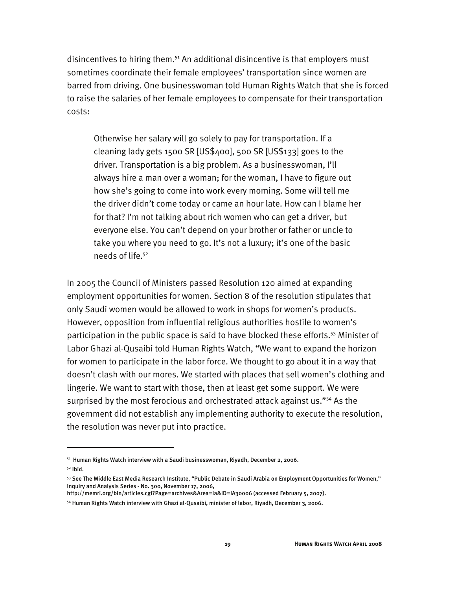disincentives to hiring them.<sup>51</sup> An additional disincentive is that employers must sometimes coordinate their female employees' transportation since women are barred from driving. One businesswoman told Human Rights Watch that she is forced to raise the salaries of her female employees to compensate for their transportation costs:

Otherwise her salary will go solely to pay for transportation. If a cleaning lady gets 1500 SR [US\$400], 500 SR [US\$133] goes to the driver. Transportation is a big problem. As a businesswoman, I'll always hire a man over a woman; for the woman, I have to figure out how she's going to come into work every morning. Some will tell me the driver didn't come today or came an hour late. How can I blame her for that? I'm not talking about rich women who can get a driver, but everyone else. You can't depend on your brother or father or uncle to take you where you need to go. It's not a luxury; it's one of the basic needs of life.<sup>52</sup>

In 2005 the Council of Ministers passed Resolution 120 aimed at expanding employment opportunities for women. Section 8 of the resolution stipulates that only Saudi women would be allowed to work in shops for women's products. However, opposition from influential religious authorities hostile to women's participation in the public space is said to have blocked these efforts.<sup>53</sup> Minister of Labor Ghazi al-Qusaibi told Human Rights Watch, "We want to expand the horizon for women to participate in the labor force. We thought to go about it in a way that doesn't clash with our mores. We started with places that sell women's clothing and lingerie. We want to start with those, then at least get some support. We were surprised by the most ferocious and orchestrated attack against us."<sup>54</sup> As the government did not establish any implementing authority to execute the resolution, the resolution was never put into practice.

 $51$  Human Rights Watch interview with a Saudi businesswoman, Rivadh, December 2, 2006.

 $52$  Ibid.

<sup>53</sup> See The Middle East Media Research Institute, "Public Debate in Saudi Arabia on Employment Opportunities for Women," Inquiry and Analysis Series - No. 300, November 17, 2006,

http://memri.org/bin/articles.cgi?Page=archives&Area=ia&ID=IA30006 (accessed February 5, 2007).

<sup>54</sup> Human Rights Watch interview with Ghazi al-Qusaibi, minister of labor, Riyadh, December 3, 2006.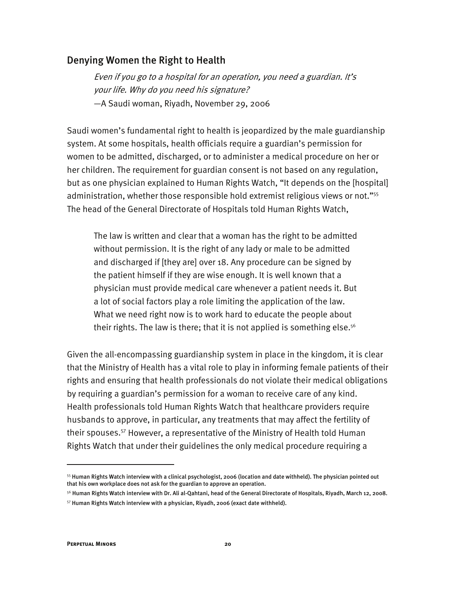#### Denying Women the Right to Health

Even if you go to a hospital for an operation, you need a guardian. It's your life. Why do you need his signature? —A Saudi woman, Riyadh, November 29, 2006

Saudi women's fundamental right to health is jeopardized by the male guardianship system. At some hospitals, health officials require a guardian's permission for women to be admitted, discharged, or to administer a medical procedure on her or her children. The requirement for guardian consent is not based on any regulation, but as one physician explained to Human Rights Watch, "It depends on the [hospital] administration, whether those responsible hold extremist religious views or not."<sup>55</sup> The head of the General Directorate of Hospitals told Human Rights Watch,

The law is written and clear that a woman has the right to be admitted without permission. It is the right of any lady or male to be admitted and discharged if [they are] over 18. Any procedure can be signed by the patient himself if they are wise enough. It is well known that a physician must provide medical care whenever a patient needs it. But a lot of social factors play a role limiting the application of the law. What we need right now is to work hard to educate the people about their rights. The law is there; that it is not applied is something else.<sup>56</sup>

Given the all-encompassing guardianship system in place in the kingdom, it is clear that the Ministry of Health has a vital role to play in informing female patients of their rights and ensuring that health professionals do not violate their medical obligations by requiring a guardian's permission for a woman to receive care of any kind. Health professionals told Human Rights Watch that healthcare providers require husbands to approve, in particular, any treatments that may affect the fertility of their spouses.57 However, a representative of the Ministry of Health told Human Rights Watch that under their guidelines the only medical procedure requiring a

-

<sup>55</sup> Human Rights Watch interview with a clinical psychologist, 2006 (location and date withheld). The physician pointed out that his own workplace does not ask for the guardian to approve an operation.

<sup>56</sup> Human Rights Watch interview with Dr. Ali al-Qahtani, head of the General Directorate of Hospitals, Riyadh, March 12, 2008.

 $57$  Human Rights Watch interview with a physician, Riyadh, 2006 (exact date withheld).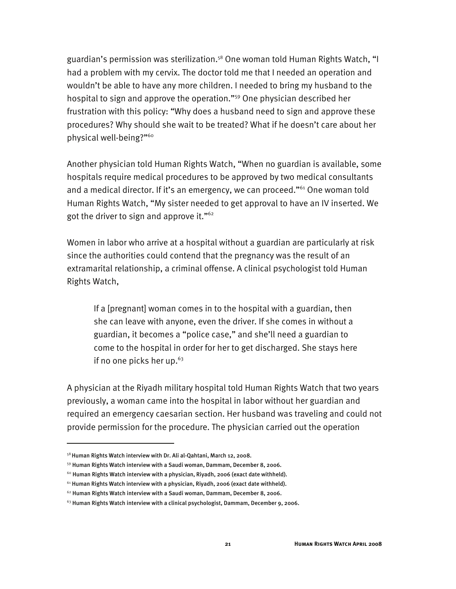guardian's permission was sterilization.<sup>58</sup> One woman told Human Rights Watch, "I had a problem with my cervix. The doctor told me that I needed an operation and wouldn't be able to have any more children. I needed to bring my husband to the hospital to sign and approve the operation."59 One physician described her frustration with this policy: "Why does a husband need to sign and approve these procedures? Why should she wait to be treated? What if he doesn't care about her physical well-being?"<sup>60</sup>

Another physician told Human Rights Watch, "When no guardian is available, some hospitals require medical procedures to be approved by two medical consultants and a medical director. If it's an emergency, we can proceed."<sup>61</sup> One woman told Human Rights Watch, "My sister needed to get approval to have an IV inserted. We got the driver to sign and approve it."62

Women in labor who arrive at a hospital without a guardian are particularly at risk since the authorities could contend that the pregnancy was the result of an extramarital relationship, a criminal offense. A clinical psychologist told Human Rights Watch,

If a [pregnant] woman comes in to the hospital with a guardian, then she can leave with anyone, even the driver. If she comes in without a guardian, it becomes a "police case," and she'll need a guardian to come to the hospital in order for her to get discharged. She stays here if no one picks her up. $63$ 

A physician at the Riyadh military hospital told Human Rights Watch that two years previously, a woman came into the hospital in labor without her guardian and required an emergency caesarian section. Her husband was traveling and could not provide permission for the procedure. The physician carried out the operation

<sup>58</sup> Human Rights Watch interview with Dr. Ali al-Qahtani, March 12, 2008.

<sup>59</sup> Human Rights Watch interview with a Saudi woman, Dammam, December 8, 2006.

 $60$  Human Rights Watch interview with a physician, Riyadh, 2006 (exact date withheld).

 $61$  Human Rights Watch interview with a physician, Riyadh, 2006 (exact date withheld).

 $62$  Human Rights Watch interview with a Saudi woman, Dammam, December 8, 2006.

 $63$  Human Rights Watch interview with a clinical psychologist, Dammam, December 9, 2006.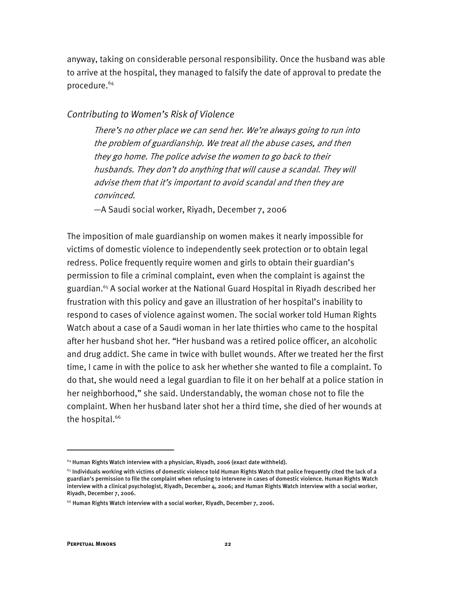anyway, taking on considerable personal responsibility. Once the husband was able to arrive at the hospital, they managed to falsify the date of approval to predate the procedure.<sup>64</sup>

#### *Contributing to Women's Risk of Violence*

There's no other place we can send her. We're always going to run into the problem of guardianship. We treat all the abuse cases, and then they go home. The police advise the women to go back to their husbands. They don't do anything that will cause a scandal. They will advise them that it's important to avoid scandal and then they are convinced.

—A Saudi social worker, Riyadh, December 7, 2006

The imposition of male guardianship on women makes it nearly impossible for victims of domestic violence to independently seek protection or to obtain legal redress. Police frequently require women and girls to obtain their guardian's permission to file a criminal complaint, even when the complaint is against the guardian.<sup>65</sup> A social worker at the National Guard Hospital in Riyadh described her frustration with this policy and gave an illustration of her hospital's inability to respond to cases of violence against women. The social worker told Human Rights Watch about a case of a Saudi woman in her late thirties who came to the hospital after her husband shot her. "Her husband was a retired police officer, an alcoholic and drug addict. She came in twice with bullet wounds. After we treated her the first time, I came in with the police to ask her whether she wanted to file a complaint. To do that, she would need a legal guardian to file it on her behalf at a police station in her neighborhood," she said. Understandably, the woman chose not to file the complaint. When her husband later shot her a third time, she died of her wounds at the hospital.<sup>66</sup>

-

 $64$  Human Rights Watch interview with a physician, Riyadh, 2006 (exact date withheld).

 $^{65}$  Individuals working with victims of domestic violence told Human Rights Watch that police frequently cited the lack of a guardian's permission to file the complaint when refusing to intervene in cases of domestic violence. Human Rights Watch interview with a clinical psychologist, Riyadh, December 4, 2006; and Human Rights Watch interview with a social worker, Riyadh, December 7, 2006.

 $66$  Human Rights Watch interview with a social worker, Riyadh, December 7, 2006.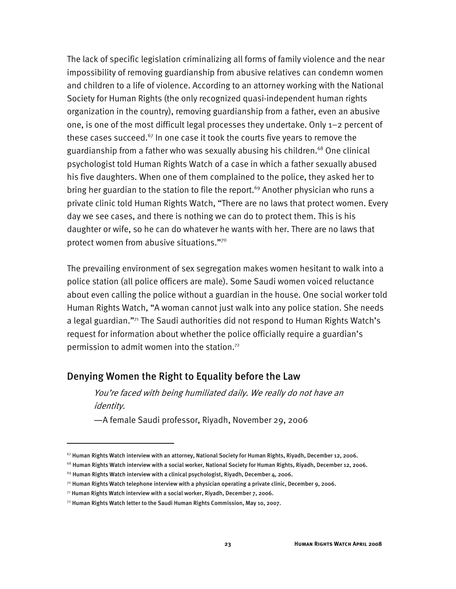The lack of specific legislation criminalizing all forms of family violence and the near impossibility of removing guardianship from abusive relatives can condemn women and children to a life of violence. According to an attorney working with the National Society for Human Rights (the only recognized quasi-independent human rights organization in the country), removing guardianship from a father, even an abusive one, is one of the most difficult legal processes they undertake. Only 1–2 percent of these cases succeed. $67$  In one case it took the courts five years to remove the guardianship from a father who was sexually abusing his children.<sup>68</sup> One clinical psychologist told Human Rights Watch of a case in which a father sexually abused his five daughters. When one of them complained to the police, they asked her to bring her guardian to the station to file the report.<sup>69</sup> Another physician who runs a private clinic told Human Rights Watch, "There are no laws that protect women. Every day we see cases, and there is nothing we can do to protect them. This is his daughter or wife, so he can do whatever he wants with her. There are no laws that protect women from abusive situations."70

The prevailing environment of sex segregation makes women hesitant to walk into a police station (all police officers are male). Some Saudi women voiced reluctance about even calling the police without a guardian in the house. One social worker told Human Rights Watch, "A woman cannot just walk into any police station. She needs a legal guardian."71 The Saudi authorities did not respond to Human Rights Watch's request for information about whether the police officially require a guardian's permission to admit women into the station.72

#### Denying Women the Right to Equality before the Law

You're faced with being humiliated daily. We really do not have an identity.

—A female Saudi professor, Riyadh, November 29, 2006

 $^{67}$  Human Rights Watch interview with an attorney, National Society for Human Rights, Riyadh, December 12, 2006.

 $68$  Human Rights Watch interview with a social worker, National Society for Human Rights, Riyadh, December 12, 2006.

 $69$  Human Rights Watch interview with a clinical psychologist, Riyadh, December 4, 2006.

 $^{70}$  Human Rights Watch telephone interview with a physician operating a private clinic, December 9, 2006.

 $71$  Human Rights Watch interview with a social worker, Riyadh, December 7, 2006.

 $72$  Human Rights Watch letter to the Saudi Human Rights Commission, May 10, 2007.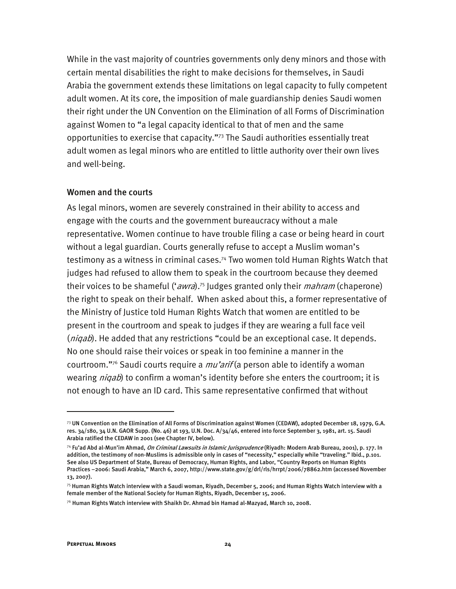While in the vast majority of countries governments only deny minors and those with certain mental disabilities the right to make decisions for themselves, in Saudi Arabia the government extends these limitations on legal capacity to fully competent adult women. At its core, the imposition of male guardianship denies Saudi women their right under the UN Convention on the Elimination of all Forms of Discrimination against Women to "a legal capacity identical to that of men and the same opportunities to exercise that capacity."73 The Saudi authorities essentially treat adult women as legal minors who are entitled to little authority over their own lives and well-being.

#### Women and the courts

As legal minors, women are severely constrained in their ability to access and engage with the courts and the government bureaucracy without a male representative. Women continue to have trouble filing a case or being heard in court without a legal guardian. Courts generally refuse to accept a Muslim woman's testimony as a witness in criminal cases.74 Two women told Human Rights Watch that judges had refused to allow them to speak in the courtroom because they deemed their voices to be shameful ('*awra*).<sup>75</sup> Judges granted only their *mahram* (chaperone) the right to speak on their behalf. When asked about this, a former representative of the Ministry of Justice told Human Rights Watch that women are entitled to be present in the courtroom and speak to judges if they are wearing a full face veil (*niqab*). He added that any restrictions "could be an exceptional case. It depends. No one should raise their voices or speak in too feminine a manner in the courtroom."<sup>76</sup> Saudi courts require a  $mu'$ arif (a person able to identify a woman wearing *niqab*) to confirm a woman's identity before she enters the courtroom; it is not enough to have an ID card. This same representative confirmed that without

 $73$  UN Convention on the Elimination of All Forms of Discrimination against Women (CEDAW), adopted December 18, 1979, G.A. res. 34/180, 34 U.N. GAOR Supp. (No. 46) at 193, U.N. Doc. A/34/46, entered into force September 3, 1981, art. 15. Saudi Arabia ratified the CEDAW in 2001 (see Chapter IV, below).

<sup>&</sup>lt;sup>74</sup> Fu'ad Abd al-Mun'im Ahmad, *On Criminal Lawsuits in Islamic Jurisprudence* (Riyadh: Modern Arab Bureau, 2001), p. 177. In addition, the testimony of non-Muslims is admissible only in cases of "necessity," especially while "traveling." Ibid., p.101. See also US Department of State, Bureau of Democracy, Human Rights, and Labor, "Country Reports on Human Rights Practices –2006: Saudi Arabia," March 6, 2007, http://www.state.gov/g/drl/rls/hrrpt/2006/78862.htm (accessed November 13, 2007).

 $^{75}$ Human Rights Watch interview with a Saudi woman, Riyadh, December 5, 2006; and Human Rights Watch interview with a female member of the National Society for Human Rights, Riyadh, December 15, 2006.

 $^{76}$  Human Rights Watch interview with Shaikh Dr. Ahmad bin Hamad al-Mazyad, March 10, 2008.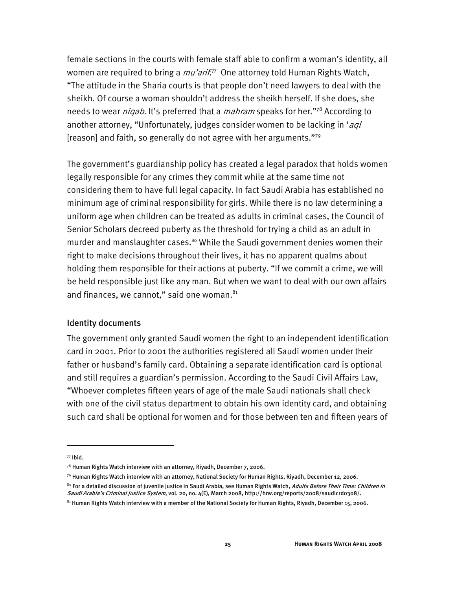female sections in the courts with female staff able to confirm a woman's identity, all women are required to bring a *mu'arif*.<sup>77</sup> One attorney told Human Rights Watch**,** "The attitude in the Sharia courts is that people don't need lawyers to deal with the sheikh. Of course a woman shouldn't address the sheikh herself. If she does, she needs to wear *niqab*. It's preferred that a *mahram* speaks for her."<sup>78</sup> According to another attorney, "Unfortunately, judges consider women to be lacking in 'aql [reason] and faith, so generally do not agree with her arguments."79

The government's guardianship policy has created a legal paradox that holds women legally responsible for any crimes they commit while at the same time not considering them to have full legal capacity. In fact Saudi Arabia has established no minimum age of criminal responsibility for girls. While there is no law determining a uniform age when children can be treated as adults in criminal cases, the Council of Senior Scholars decreed puberty as the threshold for trying a child as an adult in murder and manslaughter cases.<sup>80</sup> While the Saudi government denies women their right to make decisions throughout their lives, it has no apparent qualms about holding them responsible for their actions at puberty. "If we commit a crime, we will be held responsible just like any man. But when we want to deal with our own affairs and finances, we cannot," said one woman.<sup>81</sup>

#### Identity documents

The government only granted Saudi women the right to an independent identification card in 2001. Prior to 2001 the authorities registered all Saudi women under their father or husband's family card. Obtaining a separate identification card is optional and still requires a guardian's permission. According to the Saudi Civil Affairs Law, "Whoever completes fifteen years of age of the male Saudi nationals shall check with one of the civil status department to obtain his own identity card, and obtaining such card shall be optional for women and for those between ten and fifteen years of

<sup>77</sup> Ibid.

 $^{78}$  Human Rights Watch interview with an attorney, Riyadh, December 7, 2006.

 $^{79}$  Human Rights Watch interview with an attorney, National Society for Human Rights, Riyadh, December 12, 2006.

<sup>&</sup>lt;sup>80</sup> For a detailed discussion of juvenile justice in Saudi Arabia, see Human Rights Watch, *Adults Before Their Time: Children in* Saudi Arabia's Criminal Justice System, vol. 20, no. 4(E), March 2008, http://hrw.org/reports/2008/saudicrdo308/.

 $81$  Human Rights Watch interview with a member of the National Society for Human Rights, Riyadh, December 15, 2006.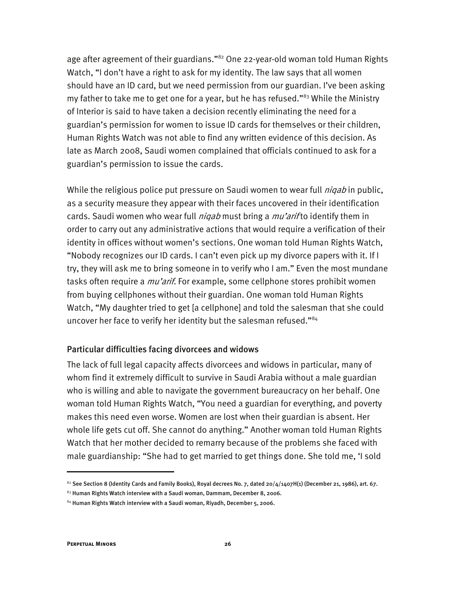age after agreement of their guardians."<sup>82</sup> One 22-year-old woman told Human Rights Watch, "I don't have a right to ask for my identity. The law says that all women should have an ID card, but we need permission from our guardian. I've been asking my father to take me to get one for a year, but he has refused."<sup>83</sup> While the Ministry of Interior is said to have taken a decision recently eliminating the need for a guardian's permission for women to issue ID cards for themselves or their children, Human Rights Watch was not able to find any written evidence of this decision. As late as March 2008, Saudi women complained that officials continued to ask for a guardian's permission to issue the cards.

While the religious police put pressure on Saudi women to wear full *niqab* in public, as a security measure they appear with their faces uncovered in their identification cards. Saudi women who wear full *niqab* must bring a *mu'arif* to identify them in order to carry out any administrative actions that would require a verification of their identity in offices without women's sections. One woman told Human Rights Watch, "Nobody recognizes our ID cards. I can't even pick up my divorce papers with it. If I try, they will ask me to bring someone in to verify who I am." Even the most mundane tasks often require a *mu'arif.* For example, some cellphone stores prohibit women from buying cellphones without their guardian. One woman told Human Rights Watch, "My daughter tried to get [a cellphone] and told the salesman that she could uncover her face to verify her identity but the salesman refused."<sup>84</sup>

#### Particular difficulties facing divorcees and widows

The lack of full legal capacity affects divorcees and widows in particular, many of whom find it extremely difficult to survive in Saudi Arabia without a male guardian who is willing and able to navigate the government bureaucracy on her behalf. One woman told Human Rights Watch, "You need a guardian for everything, and poverty makes this need even worse. Women are lost when their guardian is absent. Her whole life gets cut off. She cannot do anything." Another woman told Human Rights Watch that her mother decided to remarry because of the problems she faced with male guardianship: "She had to get married to get things done. She told me, 'I sold

 $82$  See Section 8 (Identity Cards and Family Books), Royal decrees No. 7, dated 20/4/1407H(1) (December 21, 1986), art. 67.

 $83$  Human Rights Watch interview with a Saudi woman, Dammam, December 8, 2006.

 $84$  Human Rights Watch interview with a Saudi woman, Riyadh, December 5, 2006.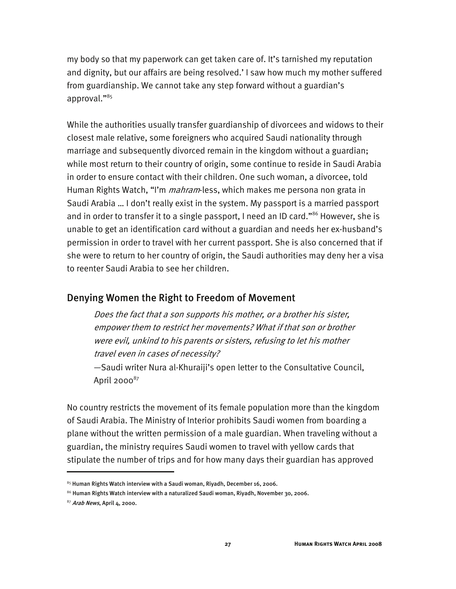my body so that my paperwork can get taken care of. It's tarnished my reputation and dignity, but our affairs are being resolved.' I saw how much my mother suffered from guardianship. We cannot take any step forward without a guardian's approval."85

While the authorities usually transfer guardianship of divorcees and widows to their closest male relative, some foreigners who acquired Saudi nationality through marriage and subsequently divorced remain in the kingdom without a guardian; while most return to their country of origin, some continue to reside in Saudi Arabia in order to ensure contact with their children. One such woman, a divorcee, told Human Rights Watch, "I'm *mahram*-less, which makes me persona non grata in Saudi Arabia … I don't really exist in the system. My passport is a married passport and in order to transfer it to a single passport, I need an ID card."<sup>86</sup> However, she is unable to get an identification card without a guardian and needs her ex-husband's permission in order to travel with her current passport. She is also concerned that if she were to return to her country of origin, the Saudi authorities may deny her a visa to reenter Saudi Arabia to see her children.

#### Denying Women the Right to Freedom of Movement

Does the fact that a son supports his mother, or a brother his sister, empower them to restrict her movements? What if that son or brother were evil, unkind to his parents or sisters, refusing to let his mother travel even in cases of necessity?

—Saudi writer Nura al-Khuraiji's open letter to the Consultative Council, April  $2000^{87}$ 

No country restricts the movement of its female population more than the kingdom of Saudi Arabia. The Ministry of Interior prohibits Saudi women from boarding a plane without the written permission of a male guardian. When traveling without a guardian, the ministry requires Saudi women to travel with yellow cards that stipulate the number of trips and for how many days their guardian has approved

 $^{85}$  Human Rights Watch interview with a Saudi woman, Riyadh, December 16, 2006.

 $^{86}$  Human Rights Watch interview with a naturalized Saudi woman, Riyadh, November 30, 2006.

 $87$  Arab News, April 4, 2000.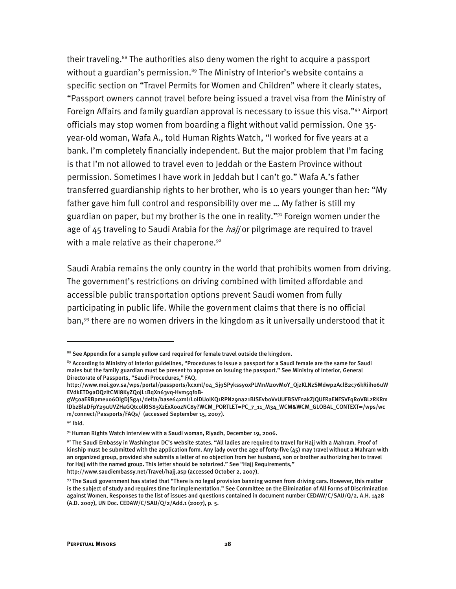their traveling.<sup>88</sup> The authorities also deny women the right to acquire a passport without a guardian's permission.<sup>89</sup> The Ministry of Interior's website contains a specific section on "Travel Permits for Women and Children" where it clearly states, "Passport owners cannot travel before being issued a travel visa from the Ministry of Foreign Affairs and family guardian approval is necessary to issue this visa."<sup>90</sup> Airport officials may stop women from boarding a flight without valid permission. One 35 year-old woman, Wafa A., told Human Rights Watch, "I worked for five years at a bank. I'm completely financially independent. But the major problem that I'm facing is that I'm not allowed to travel even to Jeddah or the Eastern Province without permission. Sometimes I have work in Jeddah but I can't go." Wafa A.'s father transferred guardianship rights to her brother, who is 10 years younger than her: "My father gave him full control and responsibility over me … My father is still my guardian on paper, but my brother is the one in reality."91 Foreign women under the age of 45 traveling to Saudi Arabia for the *hajj* or pilgrimage are required to travel with a male relative as their chaperone.<sup>92</sup>

Saudi Arabia remains the only country in the world that prohibits women from driving. The government's restrictions on driving combined with limited affordable and accessible public transportation options prevent Saudi women from fully participating in public life. While the government claims that there is no official ban,<sup>93</sup> there are no women drivers in the kingdom as it universally understood that it

-

 $88$  See Appendix for a sample yellow card required for female travel outside the kingdom.

 $89$  According to Ministry of Interior guidelines, "Procedures to issue a passport for a Saudi female are the same for Saudi males but the family guardian must be present to approve on issuing the passport." See Ministry of Interior, General Directorate of Passports, "Saudi Procedures," FAQ.

http://www.moi.gov.sa/wps/portal/passports/kcxml/04\_Sj9SPykssy0xPLMnMz0vM0Y\_QjzKLNzSMdwp2AclB2c76kRiiho6uW EVdkETD9aOQzItCMi8KyZQoJL1BqXn63vq-Hvm5qfoB-

gW5oaERBpmeuo6OigDjSg41/delta/base64xml/L0lDU0lKQ1RPN29na21BISEvb0VvUUFBSVFnakZJQUFRaENFSVFqR0VBLzRKRm lDbzBlaDFpY29uUVZHaGQtc0lRIS83XzExX00zNC8y?WCM\_PORTLET=PC\_7\_11\_M34\_WCM&WCM\_GLOBAL\_CONTEXT=/wps/wc m/connect/Passports/FAQs/ (accessed September 15, 2007).

<sup>90</sup> Ibid.

<sup>91</sup> Human Rights Watch interview with a Saudi woman, Riyadh, December 19, 2006.

 $92$  The Saudi Embassy in Washington DC's website states, "All ladies are required to travel for Hajj with a Mahram. Proof of kinship must be submitted with the application form. Any lady over the age of forty-five  $(45)$  may travel without a Mahram with an organized group, provided she submits a letter of no objection from her husband, son or brother authorizing her to travel for Hajj with the named group. This letter should be notarized." See "Hajj Requirements," http://www.saudiembassy.net/Travel/hajj.asp (accessed October 2, 2007).

 $93$  The Saudi government has stated that "There is no legal provision banning women from driving cars. However, this matter is the subject of study and requires time for implementation." See Committee on the Elimination of All Forms of Discrimination against Women, Responses to the list of issues and questions contained in document number CEDAW/C/SAU/Q/2, A.H. 1428 (A.D. 2007), UN Doc. CEDAW/C/SAU/Q/2/Add.1 (2007), p. 5.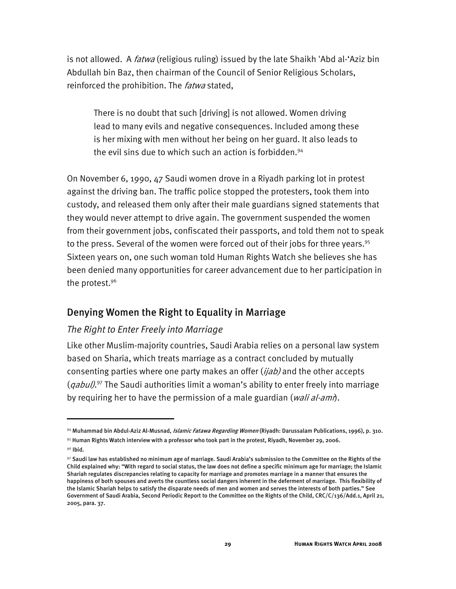is not allowed. A *fatwa* (religious ruling) issued by the late Shaikh 'Abd al-'Aziz bin Abdullah bin Baz, then chairman of the Council of Senior Religious Scholars, reinforced the prohibition. The *fatwa* stated,

There is no doubt that such [driving] is not allowed. Women driving lead to many evils and negative consequences. Included among these is her mixing with men without her being on her guard. It also leads to the evil sins due to which such an action is forbidden.<sup>94</sup>

On November 6, 1990, 47 Saudi women drove in a Riyadh parking lot in protest against the driving ban. The traffic police stopped the protesters, took them into custody, and released them only after their male guardians signed statements that they would never attempt to drive again. The government suspended the women from their government jobs, confiscated their passports, and told them not to speak to the press. Several of the women were forced out of their jobs for three years.<sup>95</sup> Sixteen years on, one such woman told Human Rights Watch she believes she has been denied many opportunities for career advancement due to her participation in the protest.<sup>96</sup>

#### Denying Women the Right to Equality in Marriage

#### *The Right to Enter Freely into Marriage*

Like other Muslim-majority countries, Saudi Arabia relies on a personal law system based on Sharia, which treats marriage as a contract concluded by mutually consenting parties where one party makes an offer (ijab) and the other accepts (*qabul)*.<sup>97</sup> The Saudi authorities limit a woman's ability to enter freely into marriage by requiring her to have the permission of a male guardian (wali al-ami).

<sup>&</sup>lt;sup>94</sup> Muhammad bin Abdul-Aziz Al-Musnad, *Islamic Fatawa Regarding Women* (Riyadh: Darussalam Publications, 1996), p. 310.

<sup>95</sup> Human Rights Watch interview with a professor who took part in the protest, Riyadh, November 29, 2006.

<sup>&</sup>lt;sup>96</sup> Ibid.

 $97$  Saudi law has established no minimum age of marriage. Saudi Arabia's submission to the Committee on the Rights of the Child explained why: "With regard to social status, the law does not define a specific minimum age for marriage; the Islamic Shariah regulates discrepancies relating to capacity for marriage and promotes marriage in a manner that ensures the happiness of both spouses and averts the countless social dangers inherent in the deferment of marriage. This flexibility of the Islamic Shariah helps to satisfy the disparate needs of men and women and serves the interests of both parties." See Government of Saudi Arabia, Second Periodic Report to the Committee on the Rights of the Child, CRC/C/136/Add.1, April 21, 2005, para. 37.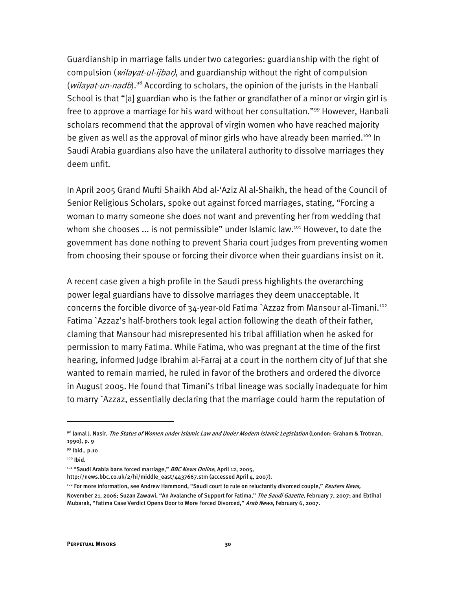Guardianship in marriage falls under two categories: guardianship with the right of compulsion (*wilayat-ul-ijbar)*, and guardianship without the right of compulsion (wilayat-un-nadb).<sup>98</sup> According to scholars, the opinion of the jurists in the Hanbali School is that "[a] guardian who is the father or grandfather of a minor or virgin girl is free to approve a marriage for his ward without her consultation."99 However, Hanbali scholars recommend that the approval of virgin women who have reached majority be given as well as the approval of minor girls who have already been married.<sup>100</sup> In Saudi Arabia guardians also have the unilateral authority to dissolve marriages they deem unfit.

In April 2005 Grand Mufti Shaikh Abd al-'Aziz Al al-Shaikh, the head of the Council of Senior Religious Scholars, spoke out against forced marriages, stating, "Forcing a woman to marry someone she does not want and preventing her from wedding that whom she chooses  $\ldots$  is not permissible" under Islamic law.<sup>101</sup> However, to date the government has done nothing to prevent Sharia court judges from preventing women from choosing their spouse or forcing their divorce when their guardians insist on it.

A recent case given a high profile in the Saudi press highlights the overarching power legal guardians have to dissolve marriages they deem unacceptable. It concerns the forcible divorce of 34-year-old Fatima `Azzaz from Mansour al-Timani.102 Fatima `Azzaz's half-brothers took legal action following the death of their father, claming that Mansour had misrepresented his tribal affiliation when he asked for permission to marry Fatima. While Fatima, who was pregnant at the time of the first hearing, informed Judge Ibrahim al-Farraj at a court in the northern city of Juf that she wanted to remain married, he ruled in favor of the brothers and ordered the divorce in August 2005. He found that Timani's tribal lineage was socially inadequate for him to marry `Azzaz, essentially declaring that the marriage could harm the reputation of

<sup>98</sup> Jamal J. Nasir, *The Status of Women under Islamic Law and Under Modern Islamic Legislation* (London: Graham & Trotman, 1990), p. 9

<sup>99</sup> Ibid., p.10

<sup>100</sup> Ibid.

<sup>&</sup>lt;sup>101</sup> "Saudi Arabia bans forced marriage," *BBC News Online*, April 12, 2005,

http://news.bbc.co.uk/2/hi/middle\_east/4437667.stm (accessed April 4, 2007).

<sup>&</sup>lt;sup>102</sup> For more information, see Andrew Hammond, "Saudi court to rule on reluctantly divorced couple," *Reuters News,* 

November 21, 2006; Suzan Zawawi, "An Avalanche of Support for Fatima," *The Saudi Gazette*, February 7, 2007; and Ebtihal Mubarak, "Fatima Case Verdict Opens Door to More Forced Divorced," Arab News, February 6, 2007.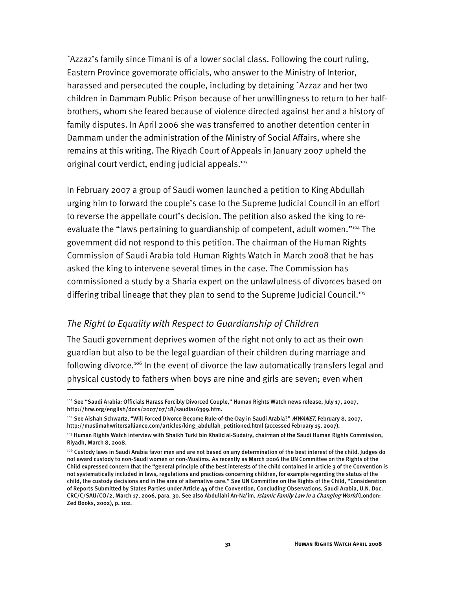`Azzaz's family since Timani is of a lower social class. Following the court ruling, Eastern Province governorate officials, who answer to the Ministry of Interior, harassed and persecuted the couple, including by detaining `Azzaz and her two children in Dammam Public Prison because of her unwillingness to return to her halfbrothers, whom she feared because of violence directed against her and a history of family disputes. In April 2006 she was transferred to another detention center in Dammam under the administration of the Ministry of Social Affairs, where she remains at this writing. The Riyadh Court of Appeals in January 2007 upheld the original court verdict, ending judicial appeals.<sup>103</sup>

In February 2007 a group of Saudi women launched a petition to King Abdullah urging him to forward the couple's case to the Supreme Judicial Council in an effort to reverse the appellate court's decision. The petition also asked the king to reevaluate the "laws pertaining to guardianship of competent, adult women."104 The government did not respond to this petition. The chairman of the Human Rights Commission of Saudi Arabia told Human Rights Watch in March 2008 that he has asked the king to intervene several times in the case. The Commission has commissioned a study by a Sharia expert on the unlawfulness of divorces based on differing tribal lineage that they plan to send to the Supreme Judicial Council.105

#### *The Right to Equality with Respect to Guardianship of Children*

I

The Saudi government deprives women of the right not only to act as their own guardian but also to be the legal guardian of their children during marriage and following divorce.<sup>106</sup> In the event of divorce the law automatically transfers legal and physical custody to fathers when boys are nine and girls are seven; even when

<sup>&</sup>lt;sup>103</sup> See "Saudi Arabia: Officials Harass Forcibly Divorced Couple," Human Rights Watch news release, July 17, 2007, http://hrw.org/english/docs/2007/07/18/saudia16399.htm.

<sup>&</sup>lt;sup>104</sup> See Aishah Schwartz, "Will Forced Divorce Become Rule-of-the-Day in Saudi Arabia?" MWANET, February 8, 2007, http://muslimahwritersalliance.com/articles/king\_abdullah\_petitioned.html (accessed February 15, 2007).

<sup>105</sup> Human Rights Watch interview with Shaikh Turki bin Khalid al-Sudairy, chairman of the Saudi Human Rights Commission, Riyadh, March 8, 2008.

<sup>106</sup> Custody laws in Saudi Arabia favor men and are not based on any determination of the best interest of the child. Judges do not award custody to non-Saudi women or non-Muslims. As recently as March 2006 the UN Committee on the Rights of the Child expressed concern that the "general principle of the best interests of the child contained in article 3 of the Convention is not systematically included in laws, regulations and practices concerning children, for example regarding the status of the child, the custody decisions and in the area of alternative care." See UN Committee on the Rights of the Child, "Consideration of Reports Submitted by States Parties under Article 44 of the Convention, Concluding Observations, Saudi Arabia, U.N. Doc. CRC/C/SAU/CO/2, March 17, 2006, para. 30. See also Abdullahi An-Na'im, Islamic Family Law in a Changing World (London: Zed Books, 2002), p. 102.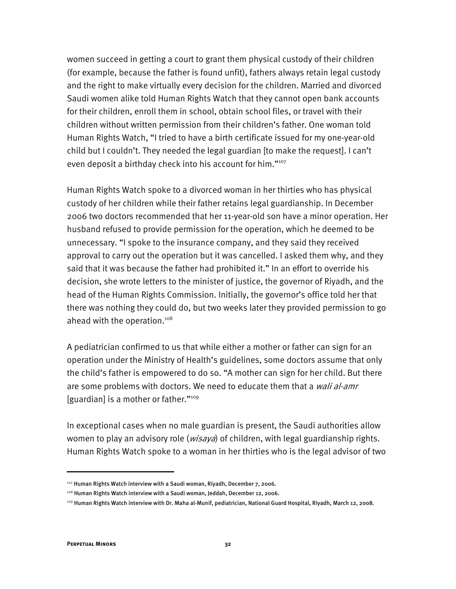women succeed in getting a court to grant them physical custody of their children (for example, because the father is found unfit), fathers always retain legal custody and the right to make virtually every decision for the children. Married and divorced Saudi women alike told Human Rights Watch that they cannot open bank accounts for their children, enroll them in school, obtain school files, or travel with their children without written permission from their children's father. One woman told Human Rights Watch, "I tried to have a birth certificate issued for my one-year-old child but I couldn't. They needed the legal guardian [to make the request]. I can't even deposit a birthday check into his account for him."<sup>107</sup>

Human Rights Watch spoke to a divorced woman in her thirties who has physical custody of her children while their father retains legal guardianship. In December 2006 two doctors recommended that her 11-year-old son have a minor operation. Her husband refused to provide permission for the operation, which he deemed to be unnecessary. "I spoke to the insurance company, and they said they received approval to carry out the operation but it was cancelled. I asked them why, and they said that it was because the father had prohibited it." In an effort to override his decision, she wrote letters to the minister of justice, the governor of Riyadh, and the head of the Human Rights Commission. Initially, the governor's office told her that there was nothing they could do, but two weeks later they provided permission to go ahead with the operation.<sup>108</sup>

A pediatrician confirmed to us that while either a mother or father can sign for an operation under the Ministry of Health's guidelines, some doctors assume that only the child's father is empowered to do so. "A mother can sign for her child. But there are some problems with doctors. We need to educate them that a wali al-amr [guardian] is a mother or father."<sup>109</sup>

In exceptional cases when no male guardian is present, the Saudi authorities allow women to play an advisory role (*wisaya*) of children, with legal guardianship rights. Human Rights Watch spoke to a woman in her thirties who is the legal advisor of two

<sup>&</sup>lt;sup>107</sup> Human Rights Watch interview with a Saudi woman, Riyadh, December 7, 2006.

<sup>108</sup> Human Rights Watch interview with a Saudi woman, Jeddah, December 12, 2006.

<sup>109</sup> Human Rights Watch interview with Dr. Maha al-Munif, pediatrician, National Guard Hospital, Riyadh, March 12, 2008.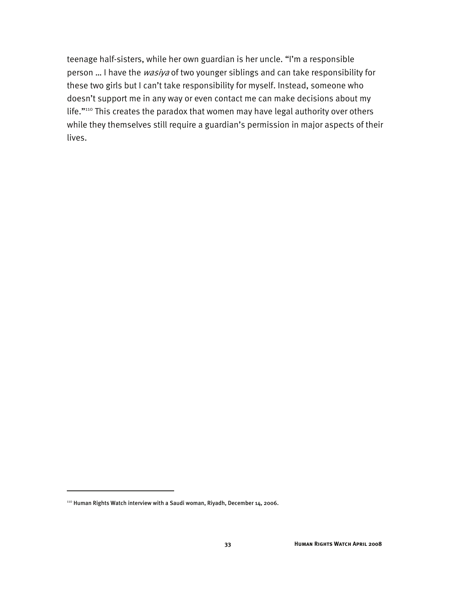teenage half-sisters, while her own guardian is her uncle. "I'm a responsible person ... I have the wasiya of two younger siblings and can take responsibility for these two girls but I can't take responsibility for myself. Instead, someone who doesn't support me in any way or even contact me can make decisions about my life."110 This creates the paradox that women may have legal authority over others while they themselves still require a guardian's permission in major aspects of their lives.

-

<sup>110</sup> Human Rights Watch interview with a Saudi woman, Riyadh, December 14, 2006.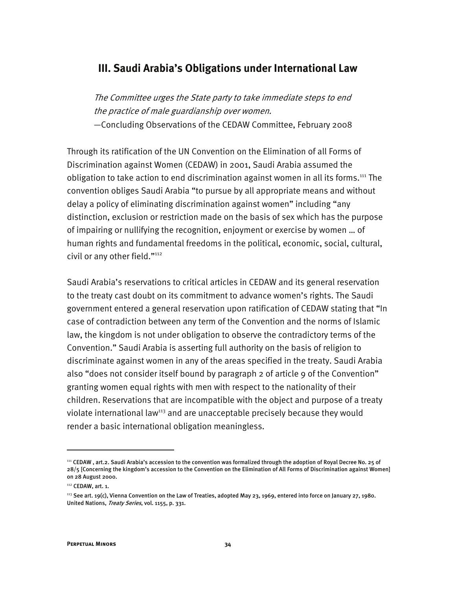#### **III. Saudi Arabia's Obligations under International Law**

The Committee urges the State party to take immediate steps to end the practice of male guardianship over women. —Concluding Observations of the CEDAW Committee, February 2008

Through its ratification of the UN Convention on the Elimination of all Forms of Discrimination against Women (CEDAW) in 2001, Saudi Arabia assumed the obligation to take action to end discrimination against women in all its forms.<sup>111</sup> The convention obliges Saudi Arabia "to pursue by all appropriate means and without delay a policy of eliminating discrimination against women" including "any distinction, exclusion or restriction made on the basis of sex which has the purpose of impairing or nullifying the recognition, enjoyment or exercise by women … of human rights and fundamental freedoms in the political, economic, social, cultural, civil or any other field."112

Saudi Arabia's reservations to critical articles in CEDAW and its general reservation to the treaty cast doubt on its commitment to advance women's rights. The Saudi government entered a general reservation upon ratification of CEDAW stating that "In case of contradiction between any term of the Convention and the norms of Islamic law, the kingdom is not under obligation to observe the contradictory terms of the Convention." Saudi Arabia is asserting full authority on the basis of religion to discriminate against women in any of the areas specified in the treaty. Saudi Arabia also "does not consider itself bound by paragraph 2 of article 9 of the Convention" granting women equal rights with men with respect to the nationality of their children. Reservations that are incompatible with the object and purpose of a treaty violate international law<sup>113</sup> and are unacceptable precisely because they would render a basic international obligation meaningless.

<sup>111</sup> CEDAW , art.2. Saudi Arabia's accession to the convention was formalized through the adoption of Royal Decree No. 25 of 28/5 [Concerning the kingdom's accession to the Convention on the Elimination of All Forms of Discrimination against Women] on 28 August 2000.

<sup>112</sup> CEDAW, art. 1.

<sup>&</sup>lt;sup>113</sup> See art. 19(c), Vienna Convention on the Law of Treaties, adopted May 23, 1969, entered into force on January 27, 1980. United Nations, Treaty Series, vol. 1155, p. 331.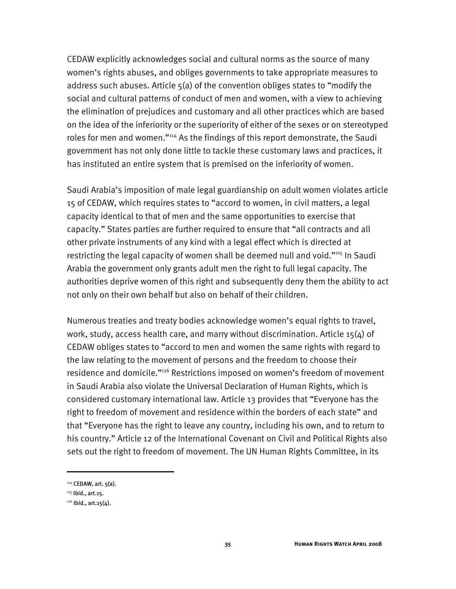CEDAW explicitly acknowledges social and cultural norms as the source of many women's rights abuses, and obliges governments to take appropriate measures to address such abuses. Article 5(a) of the convention obliges states to "modify the social and cultural patterns of conduct of men and women, with a view to achieving the elimination of prejudices and customary and all other practices which are based on the idea of the inferiority or the superiority of either of the sexes or on stereotyped roles for men and women."<sup>114</sup> As the findings of this report demonstrate, the Saudi government has not only done little to tackle these customary laws and practices, it has instituted an entire system that is premised on the inferiority of women.

Saudi Arabia's imposition of male legal guardianship on adult women violates article 15 of CEDAW, which requires states to "accord to women, in civil matters, a legal capacity identical to that of men and the same opportunities to exercise that capacity." States parties are further required to ensure that "all contracts and all other private instruments of any kind with a legal effect which is directed at restricting the legal capacity of women shall be deemed null and void."<sup>115</sup> In Saudi Arabia the government only grants adult men the right to full legal capacity. The authorities deprive women of this right and subsequently deny them the ability to act not only on their own behalf but also on behalf of their children.

Numerous treaties and treaty bodies acknowledge women's equal rights to travel, work, study, access health care, and marry without discrimination. Article 15(4) of CEDAW obliges states to "accord to men and women the same rights with regard to the law relating to the movement of persons and the freedom to choose their residence and domicile."116 Restrictions imposed on women's freedom of movement in Saudi Arabia also violate the Universal Declaration of Human Rights, which is considered customary international law. Article 13 provides that "Everyone has the right to freedom of movement and residence within the borders of each state" and that "Everyone has the right to leave any country, including his own, and to return to his country." Article 12 of the International Covenant on Civil and Political Rights also sets out the right to freedom of movement. The UN Human Rights Committee, in its

<sup>114</sup> CEDAW, art. 5(a).

<sup>115</sup> Ibid., art.15.

 $116$  Ibid., art. 15(4).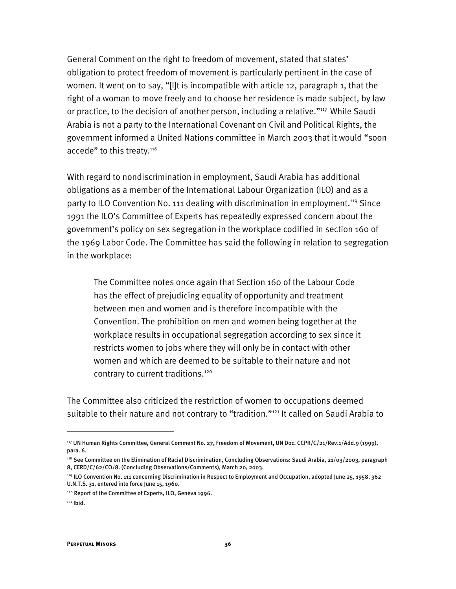General Comment on the right to freedom of movement, stated that states' obligation to protect freedom of movement is particularly pertinent in the case of women. It went on to say, "[I]t is incompatible with article 12, paragraph 1, that the right of a woman to move freely and to choose her residence is made subject, by law or practice, to the decision of another person, including a relative."<sup>117</sup> While Saudi Arabia is not a party to the International Covenant on Civil and Political Rights, the government informed a United Nations committee in March 2003 that it would "soon accede" to this treaty.<sup>118</sup>

With regard to nondiscrimination in employment, Saudi Arabia has additional obligations as a member of the International Labour Organization (ILO) and as a party to ILO Convention No. 111 dealing with discrimination in employment.<sup>119</sup> Since 1991 the ILO's Committee of Experts has repeatedly expressed concern about the government's policy on sex segregation in the workplace codified in section 160 of the 1969 Labor Code. The Committee has said the following in relation to segregation in the workplace:

The Committee notes once again that Section 160 of the Labour Code has the effect of prejudicing equality of opportunity and treatment between men and women and is therefore incompatible with the Convention. The prohibition on men and women being together at the workplace results in occupational segregation according to sex since it restricts women to jobs where they will only be in contact with other women and which are deemed to be suitable to their nature and not contrary to current traditions.<sup>120</sup>

The Committee also criticized the restriction of women to occupations deemed suitable to their nature and not contrary to "tradition."<sup>121</sup> It called on Saudi Arabia to

<sup>117</sup> UN Human Rights Committee, General Comment No. 27, Freedom of Movement, UN Doc. CCPR/C/21/Rev.1/Add.9 (1999), para. 6.

<sup>&</sup>lt;sup>118</sup> See Committee on the Elimination of Racial Discrimination, Concluding Observations: Saudi Arabia, 21/03/2003, paragraph 8, CERD/C/62/CO/8. (Concluding Observations/Comments), March 20, 2003.

<sup>119</sup> ILO Convention No. 111 concerning Discrimination in Respect to Employment and Occupation, adopted June 25, 1958, 362 U.N.T.S. 31, entered into force June 15, 1960.

<sup>120</sup> Report of the Committee of Experts, ILO, Geneva 1996.

 $121$  Ibid.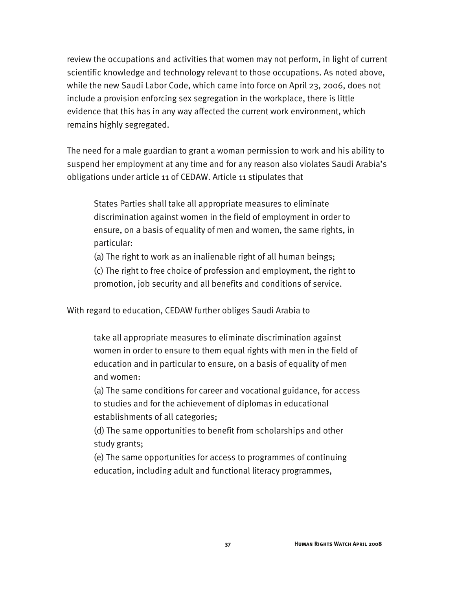review the occupations and activities that women may not perform, in light of current scientific knowledge and technology relevant to those occupations. As noted above, while the new Saudi Labor Code, which came into force on April 23, 2006, does not include a provision enforcing sex segregation in the workplace, there is little evidence that this has in any way affected the current work environment, which remains highly segregated.

The need for a male guardian to grant a woman permission to work and his ability to suspend her employment at any time and for any reason also violates Saudi Arabia's obligations under article 11 of CEDAW. Article 11 stipulates that

States Parties shall take all appropriate measures to eliminate discrimination against women in the field of employment in order to ensure, on a basis of equality of men and women, the same rights, in particular:

(a) The right to work as an inalienable right of all human beings;

(c) The right to free choice of profession and employment, the right to promotion, job security and all benefits and conditions of service.

With regard to education, CEDAW further obliges Saudi Arabia to

take all appropriate measures to eliminate discrimination against women in order to ensure to them equal rights with men in the field of education and in particular to ensure, on a basis of equality of men and women:

(a) The same conditions for career and vocational guidance, for access to studies and for the achievement of diplomas in educational establishments of all categories;

(d) The same opportunities to benefit from scholarships and other study grants;

(e) The same opportunities for access to programmes of continuing education, including adult and functional literacy programmes,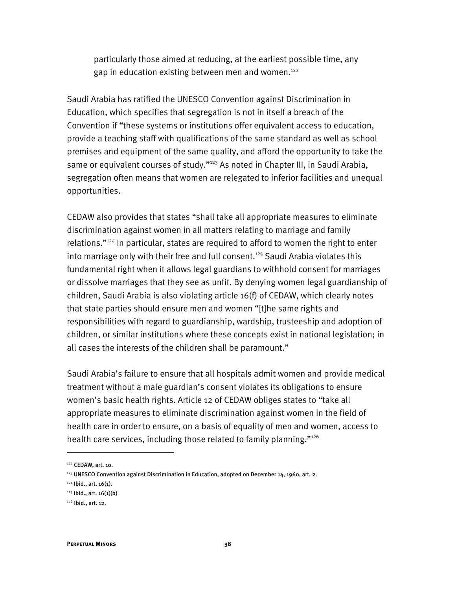particularly those aimed at reducing, at the earliest possible time, any gap in education existing between men and women.<sup>122</sup>

Saudi Arabia has ratified the UNESCO Convention against Discrimination in Education, which specifies that segregation is not in itself a breach of the Convention if "these systems or institutions offer equivalent access to education, provide a teaching staff with qualifications of the same standard as well as school premises and equipment of the same quality, and afford the opportunity to take the same or equivalent courses of study."<sup>123</sup> As noted in Chapter III, in Saudi Arabia, segregation often means that women are relegated to inferior facilities and unequal opportunities.

CEDAW also provides that states "shall take all appropriate measures to eliminate discrimination against women in all matters relating to marriage and family relations."124 In particular, states are required to afford to women the right to enter into marriage only with their free and full consent.<sup>125</sup> Saudi Arabia violates this fundamental right when it allows legal guardians to withhold consent for marriages or dissolve marriages that they see as unfit. By denying women legal guardianship of children, Saudi Arabia is also violating article 16(f) of CEDAW, which clearly notes that state parties should ensure men and women "[t]he same rights and responsibilities with regard to guardianship, wardship, trusteeship and adoption of children, or similar institutions where these concepts exist in national legislation; in all cases the interests of the children shall be paramount."

Saudi Arabia's failure to ensure that all hospitals admit women and provide medical treatment without a male guardian's consent violates its obligations to ensure women's basic health rights. Article 12 of CEDAW obliges states to "take all appropriate measures to eliminate discrimination against women in the field of health care in order to ensure, on a basis of equality of men and women, access to health care services, including those related to family planning."<sup>126</sup>

-

<sup>122</sup> CEDAW, art. 10.

<sup>123</sup> UNESCO Convention against Discrimination in Education, adopted on December 14, 1960, art. 2.

 $124$  Ibid., art. 16(1).

 $125$  Ibid., art. 16(1)(b)

<sup>126</sup> Ibid., art. 12.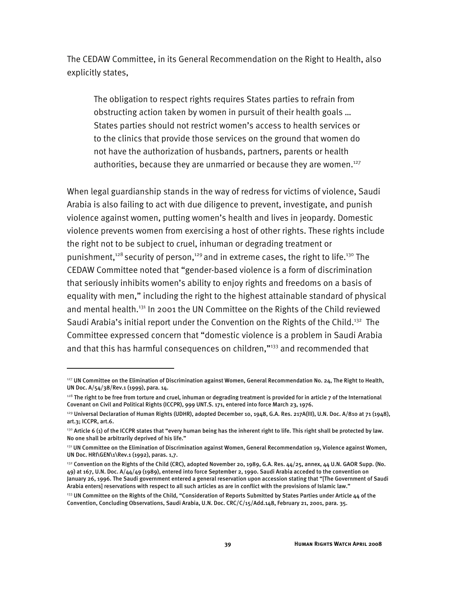The CEDAW Committee, in its General Recommendation on the Right to Health, also explicitly states,

The obligation to respect rights requires States parties to refrain from obstructing action taken by women in pursuit of their health goals … States parties should not restrict women's access to health services or to the clinics that provide those services on the ground that women do not have the authorization of husbands, partners, parents or health authorities, because they are unmarried or because they are women.<sup>127</sup>

When legal guardianship stands in the way of redress for victims of violence, Saudi Arabia is also failing to act with due diligence to prevent, investigate, and punish violence against women, putting women's health and lives in jeopardy. Domestic violence prevents women from exercising a host of other rights. These rights include the right not to be subject to cruel, inhuman or degrading treatment or punishment,<sup>128</sup> security of person,<sup>129</sup> and in extreme cases, the right to life.<sup>130</sup> The CEDAW Committee noted that "gender-based violence is a form of discrimination that seriously inhibits women's ability to enjoy rights and freedoms on a basis of equality with men," including the right to the highest attainable standard of physical and mental health.<sup>131</sup> In 2001 the UN Committee on the Rights of the Child reviewed Saudi Arabia's initial report under the Convention on the Rights of the Child.<sup>132</sup> The Committee expressed concern that "domestic violence is a problem in Saudi Arabia and that this has harmful consequences on children,"<sup>133</sup> and recommended that

<sup>&</sup>lt;sup>127</sup> UN Committee on the Elimination of Discrimination against Women, General Recommendation No. 24, The Right to Health, UN Doc. A/54/38/Rev.1 (1999), para. 14.

 $^{128}$  The right to be free from torture and cruel, inhuman or degrading treatment is provided for in article 7 of the International Covenant on Civil and Political Rights (ICCPR), 999 UNT.S. 171, entered into force March 23, 1976.

<sup>&</sup>lt;sup>129</sup> Universal Declaration of Human Rights (UDHR), adopted December 10, 1948, G.A. Res. 217A(III), U.N. Doc. A/810 at 71 (1948), art.3; ICCPR, art.6.

<sup>130</sup> Article 6 (1) of the ICCPR states that "every human being has the inherent right to life. This right shall be protected by law. No one shall be arbitrarily deprived of his life."

<sup>&</sup>lt;sup>131</sup> UN Committee on the Elimination of Discrimination against Women, General Recommendation 19, Violence against Women, UN Doc. HRI\GEN\1\Rev.1 (1992), paras. 1,7.

<sup>&</sup>lt;sup>132</sup> Convention on the Rights of the Child (CRC), adopted November 20, 1989, G.A. Res. 44/25, annex, 44 U.N. GAOR Supp. (No.  $49$ ) at 167, U.N. Doc. A/ $44/49$  (1989), entered into force September 2, 1990. Saudi Arabia acceded to the convention on January 26, 1996. The Saudi government entered a general reservation upon accession stating that "[The Government of Saudi Arabia enters] reservations with respect to all such articles as are in conflict with the provisions of Islamic law."

<sup>&</sup>lt;sup>133</sup> UN Committee on the Rights of the Child, "Consideration of Reports Submitted by States Parties under Article 44 of the Convention, Concluding Observations, Saudi Arabia, U.N. Doc. CRC/C/15/Add.148, February 21, 2001, para. 35.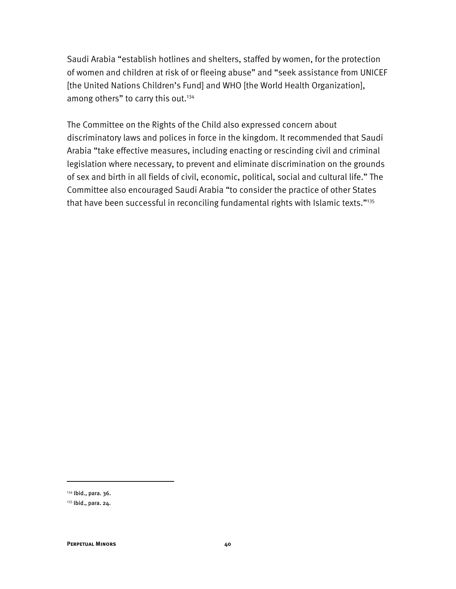Saudi Arabia "establish hotlines and shelters, staffed by women, for the protection of women and children at risk of or fleeing abuse" and "seek assistance from UNICEF [the United Nations Children's Fund] and WHO [the World Health Organization], among others" to carry this out.<sup>134</sup>

The Committee on the Rights of the Child also expressed concern about discriminatory laws and polices in force in the kingdom. It recommended that Saudi Arabia "take effective measures, including enacting or rescinding civil and criminal legislation where necessary, to prevent and eliminate discrimination on the grounds of sex and birth in all fields of civil, economic, political, social and cultural life." The Committee also encouraged Saudi Arabia "to consider the practice of other States that have been successful in reconciling fundamental rights with Islamic texts."135

-

<sup>134</sup> Ibid., para. 36.

<sup>135</sup> Ibid., para. 24.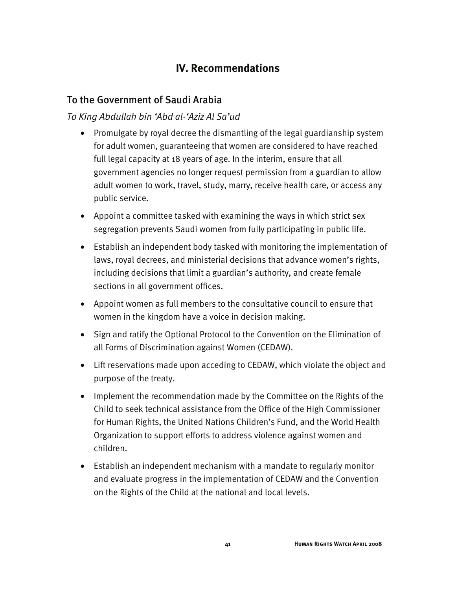## **IV. Recommendations**

#### To the Government of Saudi Arabia

#### *To King Abdullah bin 'Abd al-'Aziz Al Sa'ud*

- Promulgate by royal decree the dismantling of the legal guardianship system for adult women, guaranteeing that women are considered to have reached full legal capacity at 18 years of age. In the interim, ensure that all government agencies no longer request permission from a guardian to allow adult women to work, travel, study, marry, receive health care, or access any public service.
- Appoint a committee tasked with examining the ways in which strict sex segregation prevents Saudi women from fully participating in public life.
- Establish an independent body tasked with monitoring the implementation of laws, royal decrees, and ministerial decisions that advance women's rights, including decisions that limit a guardian's authority, and create female sections in all government offices.
- Appoint women as full members to the consultative council to ensure that women in the kingdom have a voice in decision making.
- Sign and ratify the Optional Protocol to the Convention on the Elimination of all Forms of Discrimination against Women (CEDAW).
- Lift reservations made upon acceding to CEDAW, which violate the object and purpose of the treaty.
- Implement the recommendation made by the Committee on the Rights of the Child to seek technical assistance from the Office of the High Commissioner for Human Rights, the United Nations Children's Fund, and the World Health Organization to support efforts to address violence against women and children.
- Establish an independent mechanism with a mandate to regularly monitor and evaluate progress in the implementation of CEDAW and the Convention on the Rights of the Child at the national and local levels.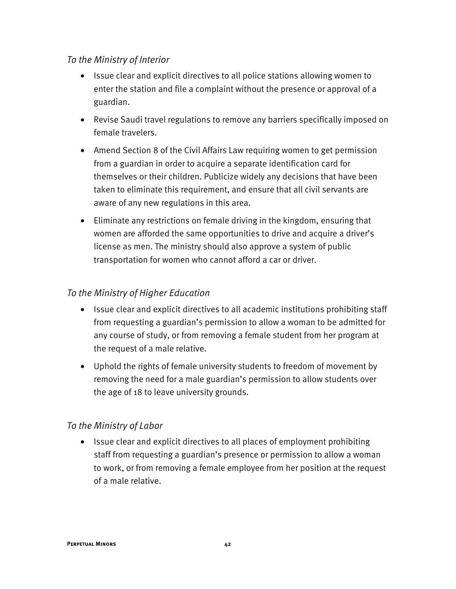#### *To the Ministry of Interior*

- Issue clear and explicit directives to all police stations allowing women to enter the station and file a complaint without the presence or approval of a guardian.
- Revise Saudi travel regulations to remove any barriers specifically imposed on female travelers.
- Amend Section 8 of the Civil Affairs Law requiring women to get permission from a guardian in order to acquire a separate identification card for themselves or their children. Publicize widely any decisions that have been taken to eliminate this requirement, and ensure that all civil servants are aware of any new regulations in this area.
- Eliminate any restrictions on female driving in the kingdom, ensuring that women are afforded the same opportunities to drive and acquire a driver's license as men. The ministry should also approve a system of public transportation for women who cannot afford a car or driver.

#### *To the Ministry of Higher Education*

- Issue clear and explicit directives to all academic institutions prohibiting staff from requesting a guardian's permission to allow a woman to be admitted for any course of study, or from removing a female student from her program at the request of a male relative.
- Uphold the rights of female university students to freedom of movement by removing the need for a male guardian's permission to allow students over the age of 18 to leave university grounds.

#### *To the Ministry of Labor*

• Issue clear and explicit directives to all places of employment prohibiting staff from requesting a guardian's presence or permission to allow a woman to work, or from removing a female employee from her position at the request of a male relative.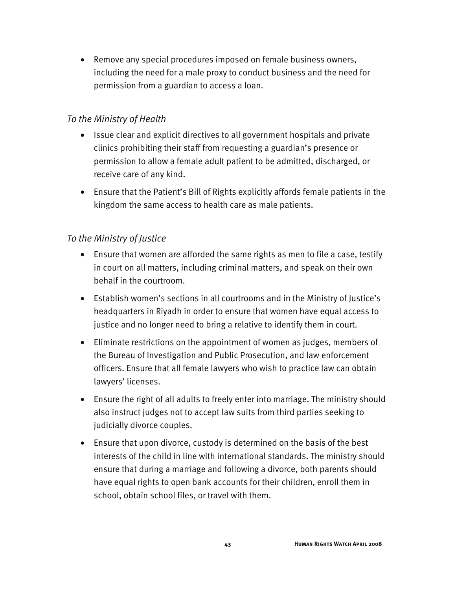• Remove any special procedures imposed on female business owners, including the need for a male proxy to conduct business and the need for permission from a guardian to access a loan.

#### *To the Ministry of Health*

- Issue clear and explicit directives to all government hospitals and private clinics prohibiting their staff from requesting a guardian's presence or permission to allow a female adult patient to be admitted, discharged, or receive care of any kind.
- Ensure that the Patient's Bill of Rights explicitly affords female patients in the kingdom the same access to health care as male patients.

#### *To the Ministry of Justice*

- Ensure that women are afforded the same rights as men to file a case, testify in court on all matters, including criminal matters, and speak on their own behalf in the courtroom.
- Establish women's sections in all courtrooms and in the Ministry of Justice's headquarters in Riyadh in order to ensure that women have equal access to justice and no longer need to bring a relative to identify them in court.
- Eliminate restrictions on the appointment of women as judges, members of the Bureau of Investigation and Public Prosecution, and law enforcement officers. Ensure that all female lawyers who wish to practice law can obtain lawyers' licenses.
- Ensure the right of all adults to freely enter into marriage. The ministry should also instruct judges not to accept law suits from third parties seeking to judicially divorce couples.
- Ensure that upon divorce, custody is determined on the basis of the best interests of the child in line with international standards. The ministry should ensure that during a marriage and following a divorce, both parents should have equal rights to open bank accounts for their children, enroll them in school, obtain school files, or travel with them.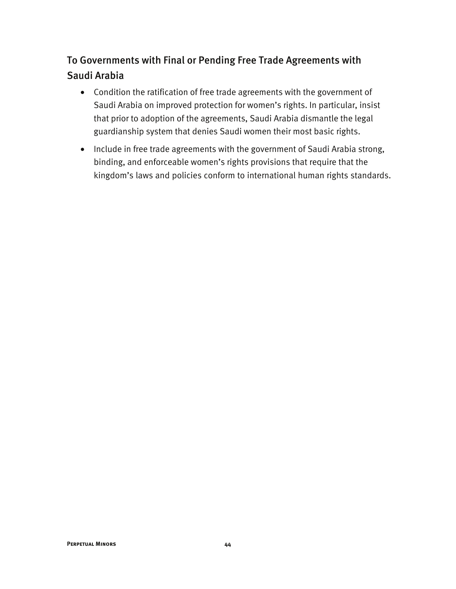## To Governments with Final or Pending Free Trade Agreements with Saudi Arabia

- Condition the ratification of free trade agreements with the government of Saudi Arabia on improved protection for women's rights. In particular, insist that prior to adoption of the agreements, Saudi Arabia dismantle the legal guardianship system that denies Saudi women their most basic rights.
- Include in free trade agreements with the government of Saudi Arabia strong, binding, and enforceable women's rights provisions that require that the kingdom's laws and policies conform to international human rights standards.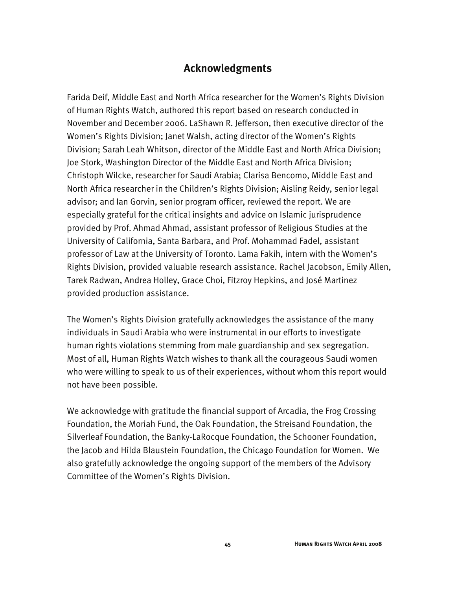#### **Acknowledgments**

Farida Deif, Middle East and North Africa researcher for the Women's Rights Division of Human Rights Watch, authored this report based on research conducted in November and December 2006. LaShawn R. Jefferson, then executive director of the Women's Rights Division; Janet Walsh, acting director of the Women's Rights Division; Sarah Leah Whitson, director of the Middle East and North Africa Division; Joe Stork, Washington Director of the Middle East and North Africa Division; Christoph Wilcke, researcher for Saudi Arabia; Clarisa Bencomo, Middle East and North Africa researcher in the Children's Rights Division; Aisling Reidy, senior legal advisor; and Ian Gorvin, senior program officer, reviewed the report. We are especially grateful for the critical insights and advice on Islamic jurisprudence provided by Prof. Ahmad Ahmad, assistant professor of Religious Studies at the University of California, Santa Barbara, and Prof. Mohammad Fadel, assistant professor of Law at the University of Toronto. Lama Fakih, intern with the Women's Rights Division, provided valuable research assistance. Rachel Jacobson, Emily Allen, Tarek Radwan, Andrea Holley, Grace Choi, Fitzroy Hepkins, and José Martinez provided production assistance.

The Women's Rights Division gratefully acknowledges the assistance of the many individuals in Saudi Arabia who were instrumental in our efforts to investigate human rights violations stemming from male guardianship and sex segregation. Most of all, Human Rights Watch wishes to thank all the courageous Saudi women who were willing to speak to us of their experiences, without whom this report would not have been possible.

We acknowledge with gratitude the financial support of Arcadia, the Frog Crossing Foundation, the Moriah Fund, the Oak Foundation, the Streisand Foundation, the Silverleaf Foundation, the Banky-LaRocque Foundation, the Schooner Foundation, the Jacob and Hilda Blaustein Foundation, the Chicago Foundation for Women. We also gratefully acknowledge the ongoing support of the members of the Advisory Committee of the Women's Rights Division.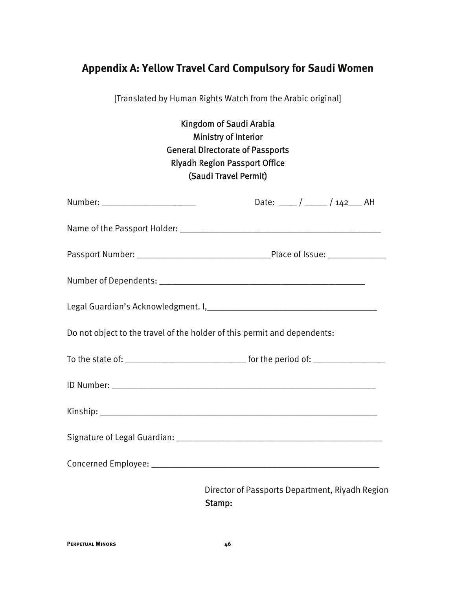## **Appendix A: Yellow Travel Card Compulsory for Saudi Women**

[Translated by Human Rights Watch from the Arabic original]

## Kingdom of Saudi Arabia Ministry of Interior General Directorate of Passports Riyadh Region Passport Office (Saudi Travel Permit)

| Number: _________________________                                        |                                                 | Date: ____ / ____ / 142___ AH |  |
|--------------------------------------------------------------------------|-------------------------------------------------|-------------------------------|--|
|                                                                          |                                                 |                               |  |
|                                                                          |                                                 |                               |  |
|                                                                          |                                                 |                               |  |
|                                                                          |                                                 |                               |  |
| Do not object to the travel of the holder of this permit and dependents: |                                                 |                               |  |
|                                                                          |                                                 |                               |  |
|                                                                          |                                                 |                               |  |
|                                                                          |                                                 |                               |  |
|                                                                          |                                                 |                               |  |
|                                                                          |                                                 |                               |  |
| Stamp:                                                                   | Director of Passports Department, Riyadh Region |                               |  |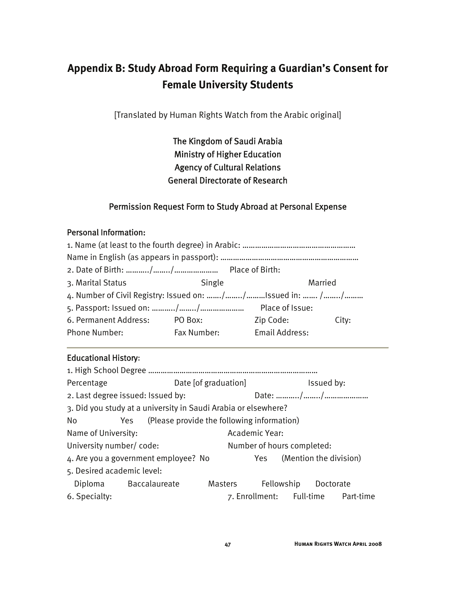# **Appendix B: Study Abroad Form Requiring a Guardian's Consent for Female University Students**

[Translated by Human Rights Watch from the Arabic original]

The Kingdom of Saudi Arabia Ministry of Higher Education Agency of Cultural Relations General Directorate of Research

#### Permission Request Form to Study Abroad at Personal Expense

#### Personal Information:

| 3. Marital Status                                        | Single      | Married               |       |
|----------------------------------------------------------|-------------|-----------------------|-------|
| 4. Number of Civil Registry: Issued on: //Issued in:  // |             |                       |       |
|                                                          |             | Place of Issue:       |       |
| 6. Permanent Address:                                    | PO Box:     | Zip Code:             | City: |
| <b>Phone Number:</b>                                     | Fax Number: | <b>Email Address:</b> |       |

#### Educational History:

| Percentage                 |                                                                | Date [of graduation] |                |                            | Issued by:                 |                                    |
|----------------------------|----------------------------------------------------------------|----------------------|----------------|----------------------------|----------------------------|------------------------------------|
|                            | 2. Last degree issued: Issued by:                              |                      |                |                            |                            |                                    |
|                            | 3. Did you study at a university in Saudi Arabia or elsewhere? |                      |                |                            |                            |                                    |
| No                         | Yes (Please provide the following information)                 |                      |                |                            |                            |                                    |
| Name of University:        |                                                                |                      | Academic Year: |                            |                            |                                    |
| University number/code:    |                                                                |                      |                | Number of hours completed: |                            |                                    |
|                            | 4. Are you a government employee? No                           |                      |                |                            | Yes (Mention the division) |                                    |
| 5. Desired academic level: |                                                                |                      |                |                            |                            |                                    |
|                            | Diploma Baccalaureate                                          | Masters              |                | Fellowship                 | Doctorate                  |                                    |
| 6. Specialty:              |                                                                |                      |                |                            |                            | 7. Enrollment: Full-time Part-time |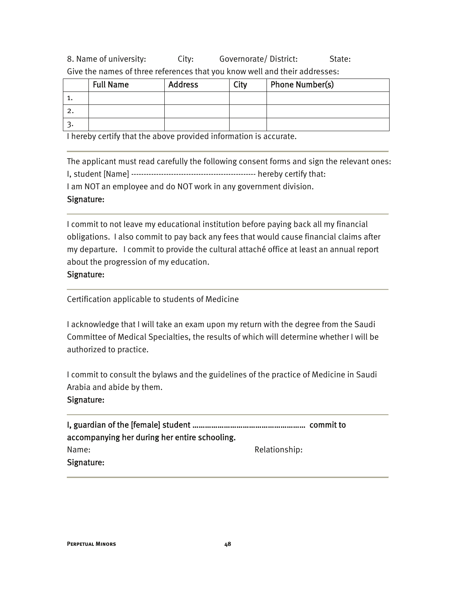8. Name of university: City: Governorate/ District: State: Give the names of three references that you know well and their addresses:

| <b>Full Name</b> | <b>Address</b> | City | <b>Phone Number(s)</b> |
|------------------|----------------|------|------------------------|
|                  |                |      |                        |
|                  |                |      |                        |
|                  |                |      |                        |

I hereby certify that the above provided information is accurate.

The applicant must read carefully the following consent forms and sign the relevant ones: I, student [Name] -------------------------------------------------- hereby certify that:

I am NOT an employee and do NOT work in any government division.

#### Signature:

I commit to not leave my educational institution before paying back all my financial obligations. I also commit to pay back any fees that would cause financial claims after my departure. I commit to provide the cultural attaché office at least an annual report about the progression of my education.

#### Signature:

Certification applicable to students of Medicine

I acknowledge that I will take an exam upon my return with the degree from the Saudi Committee of Medical Specialties, the results of which will determine whether I will be authorized to practice.

I commit to consult the bylaws and the guidelines of the practice of Medicine in Saudi Arabia and abide by them.

#### Signature:

I, guardian of the [female] student ……………………………………………… commit to accompanying her during her entire schooling. Name: Name: Relationship: Signature: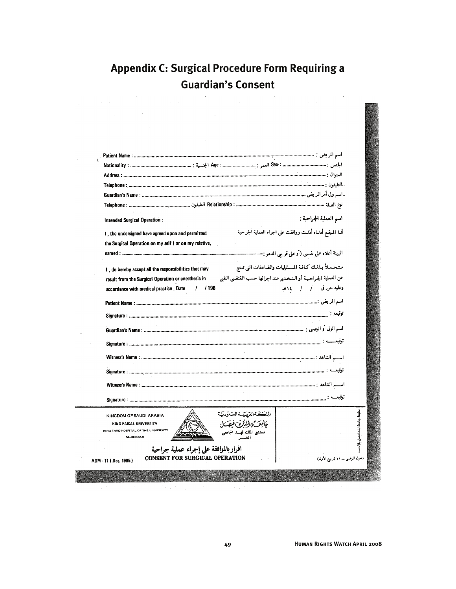# **Appendix C: Surgical Procedure Form Requiring a Guardian's Consent**

| التليفون : سسسسسسسسسسسسسسسسسسسسسسسسسسس سسسسسس Telephone                                                                  |                               |
|--------------------------------------------------------------------------------------------------------------------------|-------------------------------|
|                                                                                                                          |                               |
|                                                                                                                          |                               |
| اسم العملية الجراحية :<br>Intended Surgical Operation:                                                                   |                               |
| أنـا المـوقـع أدنـاه أذنـت ووافقت على اجراء العملية الجراحية<br>I, the undersigned have agreed upon and permitted        |                               |
| the Surgical Operation on my self (or on my relative,                                                                    |                               |
|                                                                                                                          |                               |
| متحملأ بذلك كافة المسئوليات والضاعفات التي تنتج<br>I, do hereby accept all the responsibilities that may                 |                               |
| عن العملية الجراحيـة أو الـتـخـدير عند اجرائها حسب المقتضىي الطبي<br>result from the Surgical Operation or anesthesia in |                               |
| وعليه حررفي / / ١٤هـ<br>accordance with medical practice . Date<br>$/$ / 198                                             |                               |
|                                                                                                                          |                               |
|                                                                                                                          |                               |
|                                                                                                                          |                               |
|                                                                                                                          |                               |
|                                                                                                                          |                               |
|                                                                                                                          |                               |
|                                                                                                                          |                               |
|                                                                                                                          |                               |
|                                                                                                                          |                               |
|                                                                                                                          |                               |
|                                                                                                                          |                               |
| الملككة العرستية السنعة دكة<br>KINGDOM OF SAUDI ARABIA                                                                   | مطبعة جامعة اللك فنصل بالأحسا |
| تكالألكف فيقتل<br>KING FAISAL UNIVERSITY<br>KING FAHD HOSPITAL OF THE UNIVERSITY<br>.<br>مثل الملك فهسد الجامعي<br>الخس  |                               |
| <b>AL-KHOBAR</b>                                                                                                         |                               |
| اقرار بالموافقة على إجراء عملية جراحية                                                                                   |                               |
| <b>CONSENT FOR SURGICAL OPERATION</b><br>دخول المرضى ـــ ١١ (ربيع الأول)<br>ADM - 11 (Dec. 1985)                         |                               |